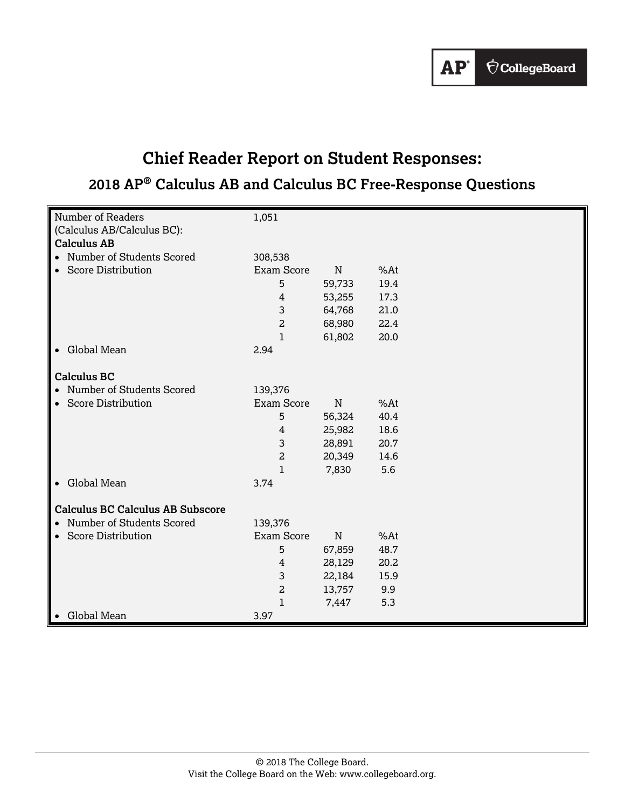

# **Chief Reader Report on Student Responses:**

# **2018 AP® Calculus AB and Calculus BC Free-Response Questions**

| Number of Readers                       | 1,051             |           |      |  |
|-----------------------------------------|-------------------|-----------|------|--|
| (Calculus AB/Calculus BC):              |                   |           |      |  |
| <b>Calculus AB</b>                      |                   |           |      |  |
| • Number of Students Scored             | 308,538           |           |      |  |
| • Score Distribution                    | <b>Exam Score</b> | ${\bf N}$ |      |  |
|                                         |                   |           | %At  |  |
|                                         | 5                 | 59,733    | 19.4 |  |
|                                         | 4                 | 53,255    | 17.3 |  |
|                                         | 3                 | 64,768    | 21.0 |  |
|                                         | 2                 | 68,980    | 22.4 |  |
|                                         | 1                 | 61,802    | 20.0 |  |
| • Global Mean                           | 2.94              |           |      |  |
|                                         |                   |           |      |  |
| <b>Calculus BC</b>                      |                   |           |      |  |
| • Number of Students Scored             | 139,376           |           |      |  |
| <b>Score Distribution</b><br>$\bullet$  | <b>Exam Score</b> | ${\bf N}$ | %At  |  |
|                                         | 5                 | 56,324    | 40.4 |  |
|                                         | $\overline{4}$    | 25,982    | 18.6 |  |
|                                         | 3                 | 28,891    | 20.7 |  |
|                                         | $\overline{a}$    | 20,349    | 14.6 |  |
|                                         | $\mathbf{1}$      | 7,830     | 5.6  |  |
| • Global Mean                           | 3.74              |           |      |  |
|                                         |                   |           |      |  |
| <b>Calculus BC Calculus AB Subscore</b> |                   |           |      |  |
| • Number of Students Scored             | 139,376           |           |      |  |
| • Score Distribution                    | <b>Exam Score</b> | ${\bf N}$ | %At  |  |
|                                         | 5                 | 67,859    | 48.7 |  |
|                                         | 4                 | 28,129    | 20.2 |  |
|                                         | 3                 | 22,184    | 15.9 |  |
|                                         | 2                 | 13,757    | 9.9  |  |
|                                         | 1                 | 7,447     | 5.3  |  |
| Global Mean                             | 3.97              |           |      |  |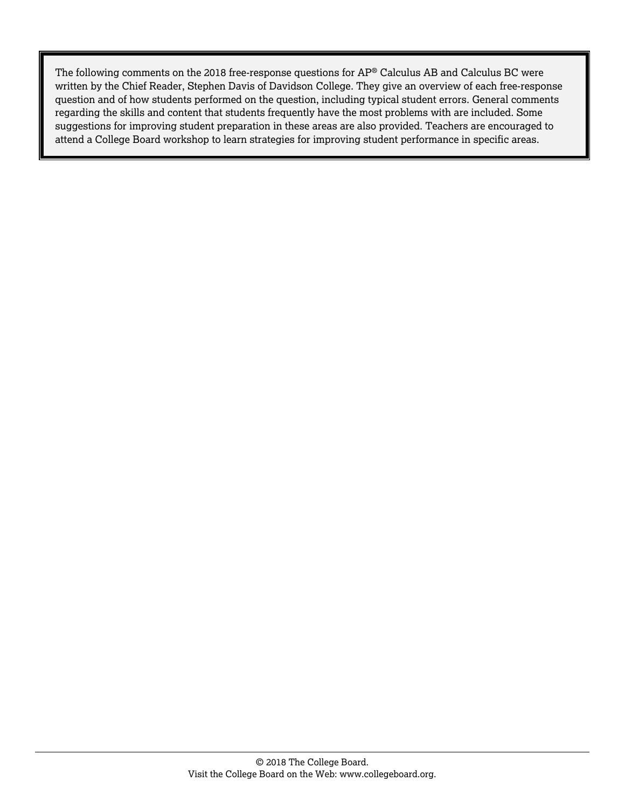The following comments on the 2018 free-response questions for AP® Calculus AB and Calculus BC were written by the Chief Reader, Stephen Davis of Davidson College. They give an overview of each free-response question and of how students performed on the question, including typical student errors. General comments regarding the skills and content that students frequently have the most problems with are included. Some suggestions for improving student preparation in these areas are also provided. Teachers are encouraged to attend a College Board workshop to learn strategies for improving student performance in specific areas.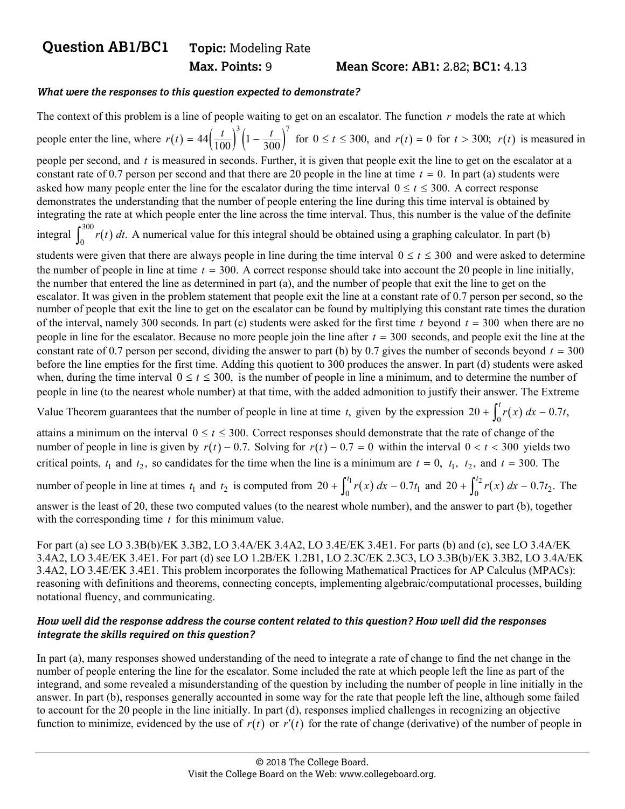## **Question AB1/BC1 Topic:** Modeling Rate

#### **Max. Points: 9 Mean Score: AB1: 2.82; BC1: 4.13**

#### *What were the responses to this question expected to demonstrate?*

The context of this problem is a line of people waiting to get on an escalator. The function *r* models the rate at which people enter the line, where  $r(t) = 44 \left(\frac{t}{100}\right)^3 \left(1 - \frac{t}{300}\right)^7$  for  $0 \le t \le 300$ , and  $r(t) = 0$  for  $t > 300$ ;  $r(t)$  is measured in people per second, and *t* is measured in seconds. Further, it is given that people exit the line to get on the escalator at a constant rate of 0.7 person per second and that there are 20 people in the line at time  $t = 0$ . In part (a) students were asked how many people enter the line for the escalator during the time interval  $0 \le t \le 300$ . A correct response demonstrates the understanding that the number of people entering the line during this time interval is obtained by integrating the rate at which people enter the line across the time interval. Thus, this number is the value of the definite integral  $\int_0^{300} r(t) dt$ . A numerical value for this integral should be obtained using a graphing calculator. In part (b) students were given that there are always people in line during the time interval  $0 \le t \le 300$  and were asked to determine the number of people in line at time  $t = 300$ . A correct response should take into account the 20 people in line initially, the number that entered the line as determined in part (a), and the number of people that exit the line to get on the escalator. It was given in the problem statement that people exit the line at a constant rate of 0.7 person per second, so the number of people that exit the line to get on the escalator can be found by multiplying this constant rate times the duration of the interval, namely 300 seconds. In part (c) students were asked for the first time  $t$  beyond  $t = 300$  when there are no people in line for the escalator. Because no more people join the line after  $t = 300$  seconds, and people exit the line at the constant rate of 0.7 person per second, dividing the answer to part (b) by 0.7 gives the number of seconds beyond  $t = 300$ before the line empties for the first time. Adding this quotient to 300 produces the answer. In part (d) students were asked when, during the time interval  $0 \le t \le 300$ , is the number of people in line a minimum, and to determine the number of people in line (to the nearest whole number) at that time, with the added admonition to justify their answer. The Extreme

Value Theorem guarantees that the number of people in line at time *t*, given by the expression  $20 + \int_0^t r(x) dx - 0.7t$ ,

attains a minimum on the interval  $0 \le t \le 300$ . Correct responses should demonstrate that the rate of change of the number of people in line is given by  $r(t) - 0.7$ . Solving for  $r(t) - 0.7 = 0$  within the interval  $0 < t < 300$  yields two critical points,  $t_1$  and  $t_2$ , so candidates for the time when the line is a minimum are  $t = 0$ ,  $t_1$ ,  $t_2$ , and  $t = 300$ . The

number of people in line at times  $t_1$  and  $t_2$  is computed from  $20 + \int_0^{t_1} r(x) dx - 0.7t_1$  and  $20 + \int_0^{t_2} r(x) dx - 0.7t_2$ . The answer is the least of 20, these two computed values (to the nearest whole number), and the answer to part (b), together with the corresponding time *t* for this minimum value.

For part (a) see LO 3.3B(b)/EK 3.3B2, LO 3.4A/EK 3.4A2, LO 3.4E/EK 3.4E1. For parts (b) and (c), see LO 3.4A/EK 3.4A2, LO 3.4E/EK 3.4E1. For part (d) see LO 1.2B/EK 1.2B1, LO 2.3C/EK 2.3C3, LO 3.3B(b)/EK 3.3B2, LO 3.4A/EK 3.4A2, LO 3.4E/EK 3.4E1. This problem incorporates the following Mathematical Practices for AP Calculus (MPACs): reasoning with definitions and theorems, connecting concepts, implementing algebraic/computational processes, building notational fluency, and communicating.

#### *How well did the response address the course content related to this question? How well did the responses integrate the skills required on this question?*

In part (a), many responses showed understanding of the need to integrate a rate of change to find the net change in the number of people entering the line for the escalator. Some included the rate at which people left the line as part of the integrand, and some revealed a misunderstanding of the question by including the number of people in line initially in the answer. In part (b), responses generally accounted in some way for the rate that people left the line, although some failed to account for the 20 people in the line initially. In part (d), responses implied challenges in recognizing an objective function to minimize, evidenced by the use of  $r(t)$  or  $r'(t)$  for the rate of change (derivative) of the number of people in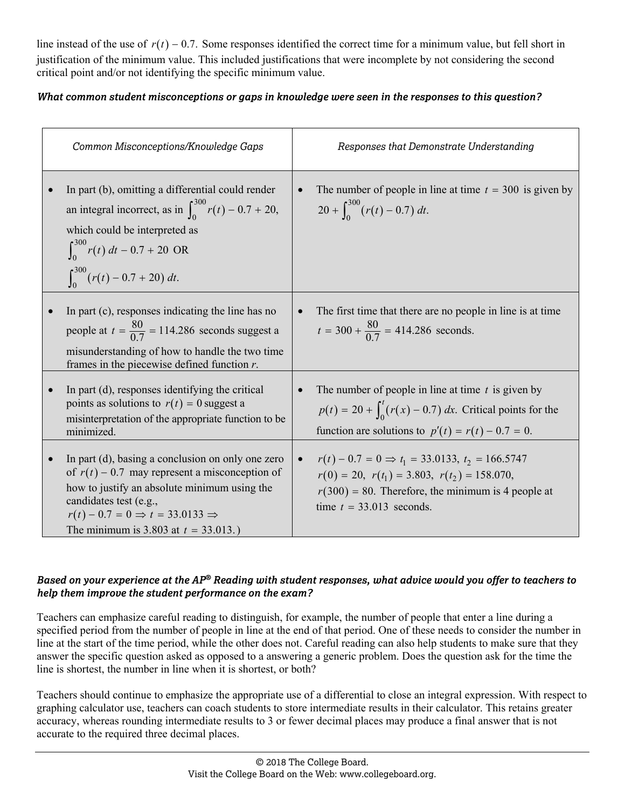line instead of the use of  $r(t) - 0.7$ . Some responses identified the correct time for a minimum value, but fell short in justification of the minimum value. This included justifications that were incomplete by not considering the second critical point and/or not identifying the specific minimum value.

### *What common student misconceptions or gaps in knowledge were seen in the responses to this question?*

|           | Common Misconceptions/Knowledge Gaps                                                                                                                                                                                                                                               | Responses that Demonstrate Understanding                                                                                                                                                                                |
|-----------|------------------------------------------------------------------------------------------------------------------------------------------------------------------------------------------------------------------------------------------------------------------------------------|-------------------------------------------------------------------------------------------------------------------------------------------------------------------------------------------------------------------------|
|           | In part (b), omitting a differential could render<br>an integral incorrect, as in $\int_0^{300} r(t) - 0.7 + 20$ ,<br>which could be interpreted as<br>$\int_0^{300} r(t) dt - 0.7 + 20 \text{ OR}$<br>$\int_{0}^{300} (r(t) - 0.7 + 20) dt.$                                      | The number of people in line at time $t = 300$ is given by<br>$20 + \int_0^{300} (r(t) - 0.7) dt$ .                                                                                                                     |
|           | In part (c), responses indicating the line has no<br>people at $t = \frac{80}{0.7} = 114.286$ seconds suggest a<br>misunderstanding of how to handle the two time<br>frames in the piecewise defined function $r$ .                                                                | The first time that there are no people in line is at time<br>$t = 300 + \frac{80}{0.7} = 414.286$ seconds.                                                                                                             |
|           | In part (d), responses identifying the critical<br>points as solutions to $r(t) = 0$ suggest a<br>misinterpretation of the appropriate function to be<br>minimized.                                                                                                                | The number of people in line at time $t$ is given by<br>$p(t) = 20 + \int_0^t (r(x) - 0.7) dx$ . Critical points for the<br>function are solutions to $p'(t) = r(t) - 0.7 = 0$ .                                        |
| $\bullet$ | In part (d), basing a conclusion on only one zero<br>of $r(t)$ – 0.7 may represent a misconception of<br>how to justify an absolute minimum using the<br>candidates test (e.g.,<br>$r(t) - 0.7 = 0 \Rightarrow t = 33.0133 \Rightarrow$<br>The minimum is 3.803 at $t = 33.013$ .) | $r(t) - 0.7 = 0 \Rightarrow t_1 = 33.0133, t_2 = 166.5747$<br>$\bullet$<br>$r(0) = 20$ , $r(t_1) = 3.803$ , $r(t_2) = 158.070$ ,<br>$r(300) = 80$ . Therefore, the minimum is 4 people at<br>time $t = 33.013$ seconds. |

### *Based on your experience at the AP® Reading with student responses, what advice would you offer to teachers to help them improve the student performance on the exam?*

Teachers can emphasize careful reading to distinguish, for example, the number of people that enter a line during a specified period from the number of people in line at the end of that period. One of these needs to consider the number in line at the start of the time period, while the other does not. Careful reading can also help students to make sure that they answer the specific question asked as opposed to a answering a generic problem. Does the question ask for the time the line is shortest, the number in line when it is shortest, or both?

Teachers should continue to emphasize the appropriate use of a differential to close an integral expression. With respect to graphing calculator use, teachers can coach students to store intermediate results in their calculator. This retains greater accuracy, whereas rounding intermediate results to 3 or fewer decimal places may produce a final answer that is not accurate to the required three decimal places.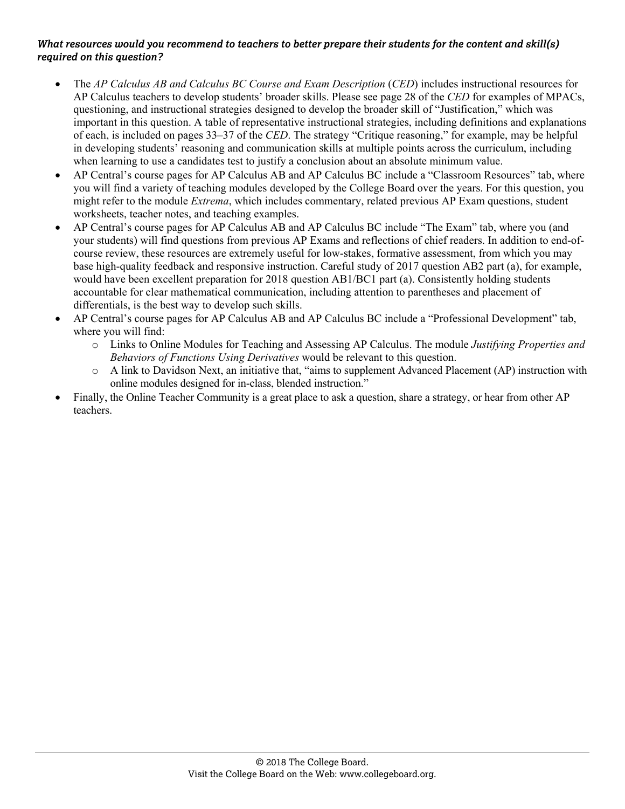- The *AP Calculus AB and Calculus BC Course and Exam Description* (*CED*) includes instructional resources for AP Calculus teachers to develop students' broader skills. Please see page 28 of the *CED* for examples of MPACs, questioning, and instructional strategies designed to develop the broader skill of "Justification," which was important in this question. A table of representative instructional strategies, including definitions and explanations of each, is included on pages 33–37 of the *CED*. The strategy "Critique reasoning," for example, may be helpful in developing students' reasoning and communication skills at multiple points across the curriculum, including when learning to use a candidates test to justify a conclusion about an absolute minimum value.
- AP Central's course pages for AP Calculus AB and AP Calculus BC include a "Classroom Resources" tab, where you will find a variety of teaching modules developed by the College Board over the years. For this question, you might refer to the module *Extrema*, which includes commentary, related previous AP Exam questions, student worksheets, teacher notes, and teaching examples.
- AP Central's course pages for AP Calculus AB and AP Calculus BC include "The Exam" tab, where you (and your students) will find questions from previous AP Exams and reflections of chief readers. In addition to end-ofcourse review, these resources are extremely useful for low-stakes, formative assessment, from which you may base high-quality feedback and responsive instruction. Careful study of 2017 question AB2 part (a), for example, would have been excellent preparation for 2018 question AB1/BC1 part (a). Consistently holding students accountable for clear mathematical communication, including attention to parentheses and placement of differentials, is the best way to develop such skills.
- AP Central's course pages for AP Calculus AB and AP Calculus BC include a "Professional Development" tab, where you will find:
	- o Links to Online Modules for Teaching and Assessing AP Calculus. The module *Justifying Properties and Behaviors of Functions Using Derivatives* would be relevant to this question.
	- o A link to Davidson Next, an initiative that, "aims to supplement Advanced Placement (AP) instruction with online modules designed for in-class, blended instruction."
- Finally, the Online Teacher Community is a great place to ask a question, share a strategy, or hear from other AP teachers.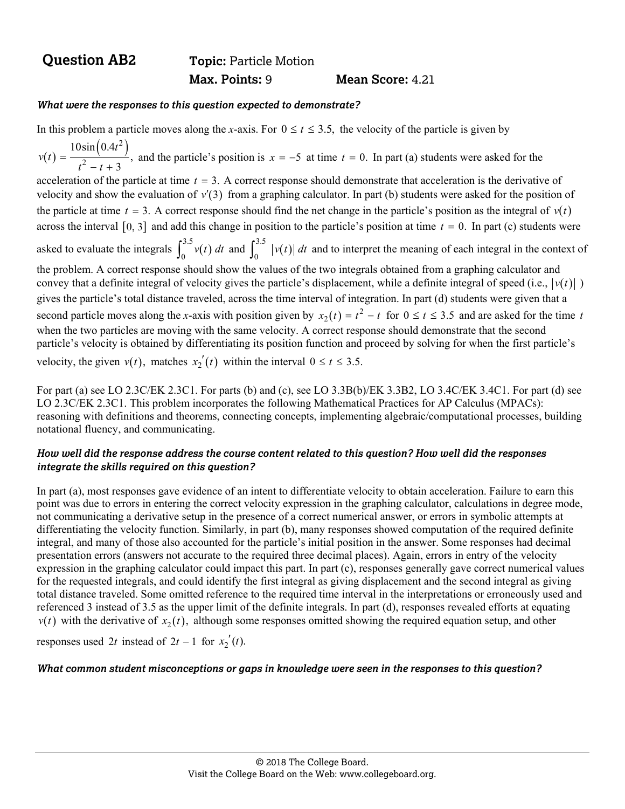## **Question AB2** Topic: Particle Motion  **Max. Points:** 9 **Mean Score:** 4.21

#### *What were the responses to this question expected to demonstrate?*

In this problem a particle moves along the *x*-axis. For  $0 \le t \le 3.5$ , the velocity of the particle is given by  $(t) = \frac{10\sin\left(0.4t^2\right)}{t^2 - t + 3},$ *v t*  $t^2-t$ and the particle's position is  $x = -5$  at time  $t = 0$ . In part (a) students were asked for the acceleration of the particle at time  $t = 3$ . A correct response should demonstrate that acceleration is the derivative of velocity and show the evaluation of  $v'(3)$  from a graphing calculator. In part (b) students were asked for the position of the particle at time  $t = 3$ . A correct response should find the net change in the particle's position as the integral of  $v(t)$ across the interval  $[0, 3]$  and add this change in position to the particle's position at time  $t = 0$ . In part (c) students were asked to evaluate the integrals  $\int_0^{3.5} v(t) dt$  and  $\int_0^{3.5} |v(t)| dt$  and to interpret the meaning of each integral in the context of the problem. A correct response should show the values of the two integrals obtained from a graphing calculator and convey that a definite integral of velocity gives the particle's displacement, while a definite integral of speed  $(i.e., v(t) \mid \mathcal{V})$ gives the particle's total distance traveled, across the time interval of integration. In part (d) students were given that a second particle moves along the *x*-axis with position given by  $x_2(t) = t^2 - t$  for  $0 \le t \le 3.5$  and are asked for the time *t* when the two particles are moving with the same velocity. A correct response should demonstrate that the second particle's velocity is obtained by differentiating its position function and proceed by solving for when the first particle's velocity, the given  $v(t)$ , matches  $x_2'(t)$  within the interval  $0 \le t \le 3.5$ .

For part (a) see LO 2.3C/EK 2.3C1. For parts (b) and (c), see LO 3.3B(b)/EK 3.3B2, LO 3.4C/EK 3.4C1. For part (d) see LO 2.3C/EK 2.3C1. This problem incorporates the following Mathematical Practices for AP Calculus (MPACs): reasoning with definitions and theorems, connecting concepts, implementing algebraic/computational processes, building notational fluency, and communicating.

#### *How well did the response address the course content related to this question? How well did the responses integrate the skills required on this question?*

In part (a), most responses gave evidence of an intent to differentiate velocity to obtain acceleration. Failure to earn this point was due to errors in entering the correct velocity expression in the graphing calculator, calculations in degree mode, not communicating a derivative setup in the presence of a correct numerical answer, or errors in symbolic attempts at differentiating the velocity function. Similarly, in part (b), many responses showed computation of the required definite integral, and many of those also accounted for the particle's initial position in the answer. Some responses had decimal presentation errors (answers not accurate to the required three decimal places). Again, errors in entry of the velocity expression in the graphing calculator could impact this part. In part (c), responses generally gave correct numerical values for the requested integrals, and could identify the first integral as giving displacement and the second integral as giving total distance traveled. Some omitted reference to the required time interval in the interpretations or erroneously used and referenced 3 instead of 3.5 as the upper limit of the definite integrals. In part (d), responses revealed efforts at equating  $v(t)$  with the derivative of  $x_2(t)$ , although some responses omitted showing the required equation setup, and other

responses used 2*t* instead of  $2t - 1$  for  $x_2'(t)$ .

#### *What common student misconceptions or gaps in knowledge were seen in the responses to this question?*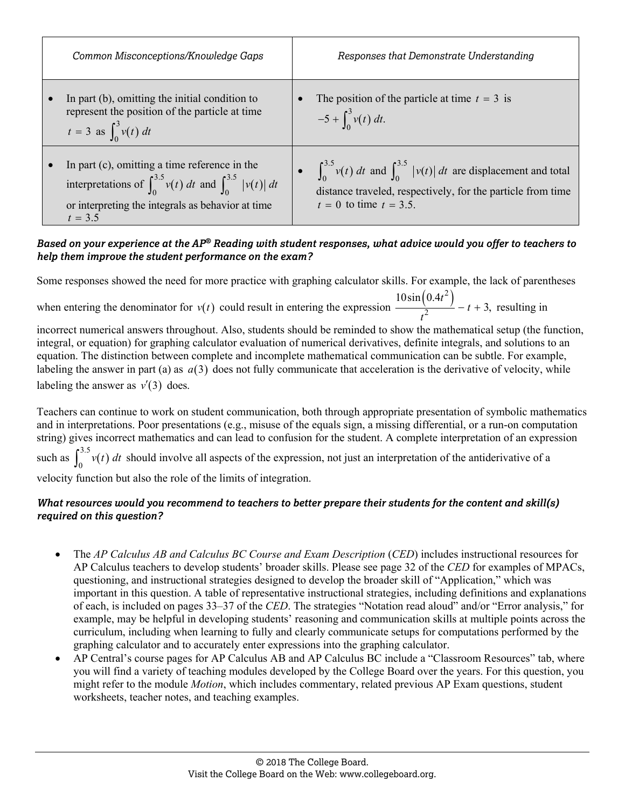| Common Misconceptions/Knowledge Gaps                                                                                                                                                          | Responses that Demonstrate Understanding                                                                                                                                           |
|-----------------------------------------------------------------------------------------------------------------------------------------------------------------------------------------------|------------------------------------------------------------------------------------------------------------------------------------------------------------------------------------|
| In part $(b)$ , omitting the initial condition to<br>represent the position of the particle at time<br>$t = 3$ as $\int_0^3 v(t) dt$                                                          | The position of the particle at time $t = 3$ is<br>$-5 + \int_0^3 v(t) dt$ .                                                                                                       |
| In part (c), omitting a time reference in the<br>interpretations of $\int_{0}^{3.5} v(t) dt$ and $\int_{0}^{3.5}  v(t)  dt$<br>or interpreting the integrals as behavior at time<br>$t = 3.5$ | • $\int_{0}^{3.5} v(t) dt$ and $\int_{0}^{3.5}  v(t)  dt$ are displacement and total<br>distance traveled, respectively, for the particle from time<br>$t = 0$ to time $t = 3.5$ . |

#### *Based on your experience at the AP® Reading with student responses, what advice would you offer to teachers to help them improve the student performance on the exam?*

Some responses showed the need for more practice with graphing calculator skills. For example, the lack of parentheses when entering the denominator for  $v(t)$  could result in entering the expression  $\frac{10\sin(0.4t^2)}{t^2}$  $10\sin(0.4)$  $-t+3$ , *t t t* resulting in

incorrect numerical answers throughout. Also, students should be reminded to show the mathematical setup (the function, integral, or equation) for graphing calculator evaluation of numerical derivatives, definite integrals, and solutions to an equation. The distinction between complete and incomplete mathematical communication can be subtle. For example, labeling the answer in part (a) as  $a(3)$  does not fully communicate that acceleration is the derivative of velocity, while labeling the answer as  $v'(3)$  does.

Teachers can continue to work on student communication, both through appropriate presentation of symbolic mathematics and in interpretations. Poor presentations (e.g., misuse of the equals sign, a missing differential, or a run-on computation string) gives incorrect mathematics and can lead to confusion for the student. A complete interpretation of an expression such as  $\int_0^{3.5} v(t) dt$  should involve all aspects of the expression, not just an interpretation of the antiderivative of a velocity function but also the role of the limits of integration.

- The *AP Calculus AB and Calculus BC Course and Exam Description* (*CED*) includes instructional resources for AP Calculus teachers to develop students' broader skills. Please see page 32 of the *CED* for examples of MPACs, questioning, and instructional strategies designed to develop the broader skill of "Application," which was important in this question. A table of representative instructional strategies, including definitions and explanations of each, is included on pages 33–37 of the *CED*. The strategies "Notation read aloud" and/or "Error analysis," for example, may be helpful in developing students' reasoning and communication skills at multiple points across the curriculum, including when learning to fully and clearly communicate setups for computations performed by the graphing calculator and to accurately enter expressions into the graphing calculator.
- AP Central's course pages for AP Calculus AB and AP Calculus BC include a "Classroom Resources" tab, where you will find a variety of teaching modules developed by the College Board over the years. For this question, you might refer to the module *Motion*, which includes commentary, related previous AP Exam questions, student worksheets, teacher notes, and teaching examples.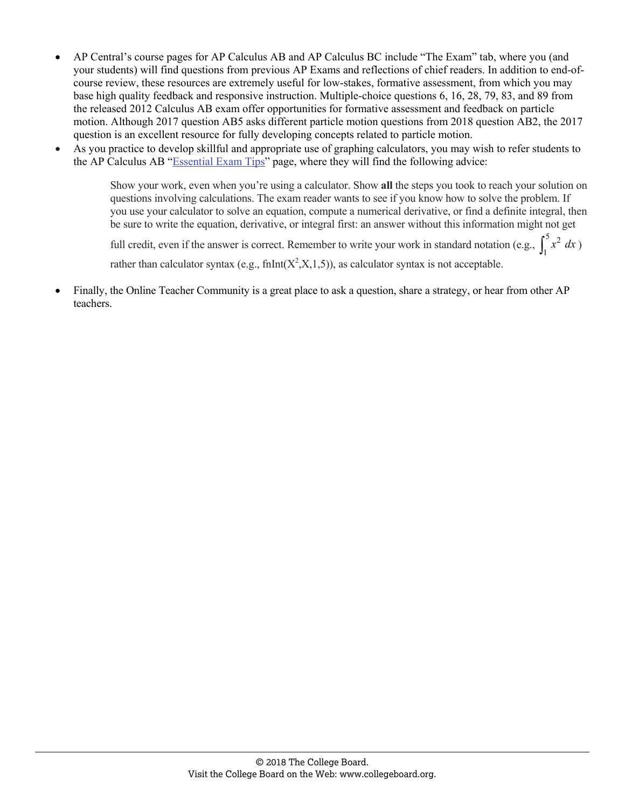- AP Central's course pages for AP Calculus AB and AP Calculus BC include "The Exam" tab, where you (and your students) will find questions from previous AP Exams and reflections of chief readers. In addition to end-ofcourse review, these resources are extremely useful for low-stakes, formative assessment, from which you may base high quality feedback and responsive instruction. Multiple-choice questions 6, 16, 28, 79, 83, and 89 from the released 2012 Calculus AB exam offer opportunities for formative assessment and feedback on particle motion. Although 2017 question AB5 asks different particle motion questions from 2018 question AB2, the 2017 question is an excellent resource for fully developing concepts related to particle motion.
- As you practice to develop skillful and appropriate use of graphing calculators, you may wish to refer students to the AP Calculus AB "[Essential Exam Tips"](https://apstudent.collegeboard.org/apcourse/ap-calculus-ab/exam-tips) page, where they will find the following advice:

Show your work, even when you're using a calculator. Show **all** the steps you took to reach your solution on questions involving calculations. The exam reader wants to see if you know how to solve the problem. If you use your calculator to solve an equation, compute a numerical derivative, or find a definite integral, then be sure to write the equation, derivative, or integral first: an answer without this information might not get

full credit, even if the answer is correct. Remember to write your work in standard notation (e.g.,  $\int_1^5 x^2 dx$ ) rather than calculator syntax (e.g.,  $f_nInt(X^2, X, 1, 5)$ ), as calculator syntax is not acceptable.

 Finally, the Online Teacher Community is a great place to ask a question, share a strategy, or hear from other AP teachers.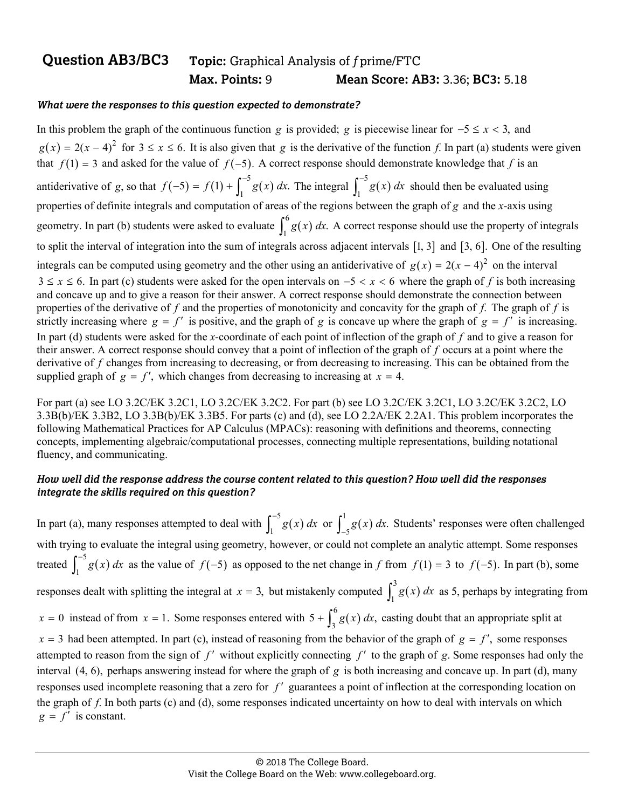## **Question AB3/BC3 Topic:** Graphical Analysis of *f* prime/FTC  **Max. Points:** 9 **Mean Score: AB3:** 3.36; **BC3:** 5.18

#### *What were the responses to this question expected to demonstrate?*

In this problem the graph of the continuous function *g* is provided; *g* is piecewise linear for  $-5 \le x < 3$ , and  $g(x) = 2(x - 4)^2$  for  $3 \le x \le 6$ . It is also given that *g* is the derivative of the function *f*. In part (a) students were given that  $f(1) = 3$  and asked for the value of  $f(-5)$ . A correct response should demonstrate knowledge that f is an antiderivative of *g*, so that  $f(-5) = f(1) + \int_1^{-5} g(x) dx$ . The integral  $\int_1^{-5} g(x) dx$  $\int_1^{-5} g(x) dx$  should then be evaluated using properties of definite integrals and computation of areas of the regions between the graph of *g* and the *x*-axis using geometry. In part (b) students were asked to evaluate  $\int_1^6 g(x) dx$ . A correct response should use the property of integrals to split the interval of integration into the sum of integrals across adjacent intervals  $[1, 3]$  and  $[3, 6]$ . One of the resulting integrals can be computed using geometry and the other using an antiderivative of  $g(x) = 2(x - 4)^2$  on the interval  $3 \le x \le 6$ . In part (c) students were asked for the open intervals on  $-5 < x < 6$  where the graph of f is both increasing and concave up and to give a reason for their answer. A correct response should demonstrate the connection between properties of the derivative of *f* and the properties of monotonicity and concavity for the graph of *f*. The graph of *f* is strictly increasing where  $g = f'$  is positive, and the graph of *g* is concave up where the graph of  $g = f'$  is increasing. In part (d) students were asked for the *x*-coordinate of each point of inflection of the graph of *f* and to give a reason for their answer. A correct response should convey that a point of inflection of the graph of *f* occurs at a point where the derivative of f changes from increasing to decreasing, or from decreasing to increasing. This can be obtained from the supplied graph of  $g = f'$ , which changes from decreasing to increasing at  $x = 4$ .

For part (a) see LO 3.2C/EK 3.2C1, LO 3.2C/EK 3.2C2. For part (b) see LO 3.2C/EK 3.2C1, LO 3.2C/EK 3.2C2, LO 3.3B(b)/EK 3.3B2, LO 3.3B(b)/EK 3.3B5. For parts (c) and (d), see LO 2.2A/EK 2.2A1. This problem incorporates the following Mathematical Practices for AP Calculus (MPACs): reasoning with definitions and theorems, connecting concepts, implementing algebraic/computational processes, connecting multiple representations, building notational fluency, and communicating.

#### *How well did the response address the course content related to this question? How well did the responses integrate the skills required on this question?*

In part (a), many responses attempted to deal with  $\int_1^{-5} g(x)$  $\int_{1}^{-5} g(x) dx$  or  $\int_{-5}^{1} g(x) dx$ . Students' responses were often challenged with trying to evaluate the integral using geometry, however, or could not complete an analytic attempt. Some responses treated  $\int_1^{-5} g(x)$  $\int_1^{-5} g(x) dx$  as the value of  $f(-5)$  as opposed to the net change in *f* from  $f(1) = 3$  to  $f(-5)$ . In part (b), some responses dealt with splitting the integral at  $x = 3$ , but mistakenly computed  $\int_1^3 g(x) dx$  as 5, perhaps by integrating from  $x = 0$  instead of from  $x = 1$ . Some responses entered with  $5 + \int_3^6 g(x) dx$ , casting doubt that an appropriate split at  $x = 3$  had been attempted. In part (c), instead of reasoning from the behavior of the graph of  $g = f'$ , some responses attempted to reason from the sign of  $f'$  without explicitly connecting  $f'$  to the graph of  $g$ . Some responses had only the interval (4, 6), perhaps answering instead for where the graph of *g* is both increasing and concave up. In part (d), many responses used incomplete reasoning that a zero for f' guarantees a point of inflection at the corresponding location on the graph of *f*. In both parts (c) and (d), some responses indicated uncertainty on how to deal with intervals on which  $g = f'$  is constant.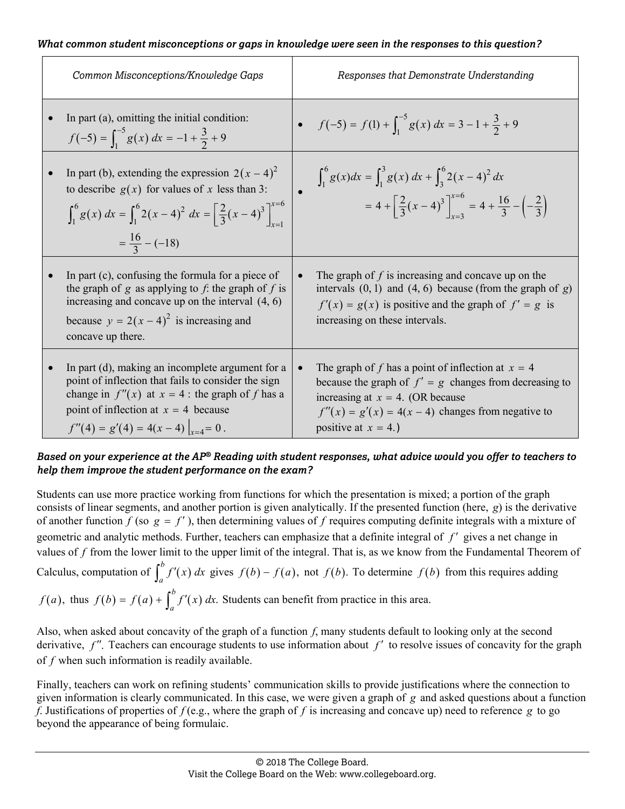#### *What common student misconceptions or gaps in knowledge were seen in the responses to this question?*

| Common Misconceptions/Knowledge Gaps                                                                                                                                                                                                                    | Responses that Demonstrate Understanding                                                                                                                                                                                                              |
|---------------------------------------------------------------------------------------------------------------------------------------------------------------------------------------------------------------------------------------------------------|-------------------------------------------------------------------------------------------------------------------------------------------------------------------------------------------------------------------------------------------------------|
| In part $(a)$ , omitting the initial condition:<br>$f(-5) = \int_1^{-5} g(x) dx = -1 + \frac{3}{2} + 9$                                                                                                                                                 | • $f(-5) = f(1) + \int_1^{-5} g(x) dx = 3 - 1 + \frac{3}{2} + 9$                                                                                                                                                                                      |
| In part (b), extending the expression $2(x-4)^2$<br>to describe $g(x)$ for values of x less than 3:<br>$\int_1^6 g(x) dx = \int_1^6 2(x-4)^2 dx = \left[ \frac{2}{3}(x-4)^3 \right]_{x=0}^{x=6}$<br>$=\frac{16}{2}-(-18)$                               | $\int_1^6 g(x) dx = \int_1^3 g(x) dx + \int_3^6 2(x-4)^2 dx$<br>$= 4 + \left[\frac{2}{3}(x-4)^3\right]_{x=3}^{x=6} = 4 + \frac{16}{3} - \left(-\frac{2}{3}\right)$                                                                                    |
| In part (c), confusing the formula for a piece of<br>the graph of $g$ as applying to $f$ : the graph of $f$ is<br>increasing and concave up on the interval $(4, 6)$<br>because $y = 2(x - 4)^2$ is increasing and<br>concave up there.                 | The graph of $f$ is increasing and concave up on the<br>intervals $(0, 1)$ and $(4, 6)$ because (from the graph of g)<br>$f'(x) = g(x)$ is positive and the graph of $f' = g$ is<br>increasing on these intervals.                                    |
| In part (d), making an incomplete argument for a<br>point of inflection that fails to consider the sign<br>change in $f''(x)$ at $x = 4$ : the graph of f has a<br>point of inflection at $x = 4$ because<br>$f''(4) = g'(4) = 4(x-4)\Big _{x=4} = 0$ . | The graph of f has a point of inflection at $x = 4$<br>$\bullet$<br>because the graph of $f' = g$ changes from decreasing to<br>increasing at $x = 4$ . (OR because<br>$f''(x) = g'(x) = 4(x - 4)$ changes from negative to<br>positive at $x = 4$ .) |

#### *Based on your experience at the AP® Reading with student responses, what advice would you offer to teachers to help them improve the student performance on the exam?*

Students can use more practice working from functions for which the presentation is mixed; a portion of the graph consists of linear segments, and another portion is given analytically. If the presented function (here, *g*) is the derivative of another function  $f$  (so  $g = f'$ ), then determining values of  $f$  requires computing definite integrals with a mixture of geometric and analytic methods. Further, teachers can emphasize that a definite integral of *f'* gives a net change in values of *f* from the lower limit to the upper limit of the integral. That is, as we know from the Fundamental Theorem of Calculus, computation of  $\int_a^b f'(x) dx$  gives  $f(b) - f(a)$ , not  $f(b)$ . To determine  $f(b)$  from this requires adding  $f(a)$ , thus  $f(b) = f(a) + \int_a^b f'(x) dx$ . Students can benefit from practice in this area.

Also, when asked about concavity of the graph of a function *f*, many students default to looking only at the second derivative,  $f''$ . Teachers can encourage students to use information about  $f'$  to resolve issues of concavity for the graph of *f* when such information is readily available.

Finally, teachers can work on refining students' communication skills to provide justifications where the connection to given information is clearly communicated. In this case, we were given a graph of *g* and asked questions about a function *f*. Justifications of properties of *f* (e.g., where the graph of *f* is increasing and concave up) need to reference *g* to go beyond the appearance of being formulaic.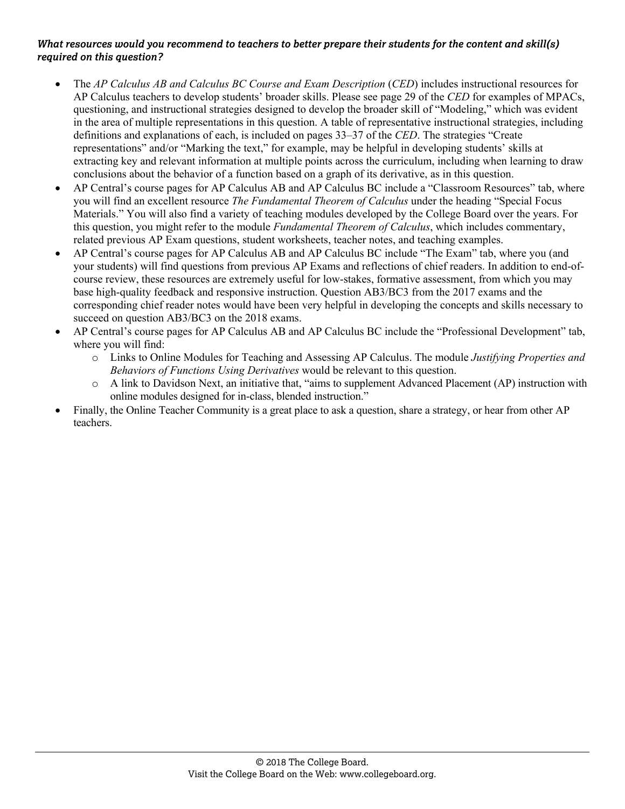- The *AP Calculus AB and Calculus BC Course and Exam Description* (*CED*) includes instructional resources for AP Calculus teachers to develop students' broader skills. Please see page 29 of the *CED* for examples of MPACs, questioning, and instructional strategies designed to develop the broader skill of "Modeling," which was evident in the area of multiple representations in this question. A table of representative instructional strategies, including definitions and explanations of each, is included on pages 33–37 of the *CED*. The strategies "Create representations" and/or "Marking the text," for example, may be helpful in developing students' skills at extracting key and relevant information at multiple points across the curriculum, including when learning to draw conclusions about the behavior of a function based on a graph of its derivative, as in this question.
- AP Central's course pages for AP Calculus AB and AP Calculus BC include a "Classroom Resources" tab, where you will find an excellent resource *The Fundamental Theorem of Calculus* under the heading "Special Focus Materials." You will also find a variety of teaching modules developed by the College Board over the years. For this question, you might refer to the module *Fundamental Theorem of Calculus*, which includes commentary, related previous AP Exam questions, student worksheets, teacher notes, and teaching examples.
- AP Central's course pages for AP Calculus AB and AP Calculus BC include "The Exam" tab, where you (and your students) will find questions from previous AP Exams and reflections of chief readers. In addition to end-ofcourse review, these resources are extremely useful for low-stakes, formative assessment, from which you may base high-quality feedback and responsive instruction. Question AB3/BC3 from the 2017 exams and the corresponding chief reader notes would have been very helpful in developing the concepts and skills necessary to succeed on question AB3/BC3 on the 2018 exams.
- AP Central's course pages for AP Calculus AB and AP Calculus BC include the "Professional Development" tab, where you will find:
	- o Links to Online Modules for Teaching and Assessing AP Calculus. The module *Justifying Properties and Behaviors of Functions Using Derivatives* would be relevant to this question.
	- o A link to Davidson Next, an initiative that, "aims to supplement Advanced Placement (AP) instruction with online modules designed for in-class, blended instruction."
- Finally, the Online Teacher Community is a great place to ask a question, share a strategy, or hear from other AP teachers.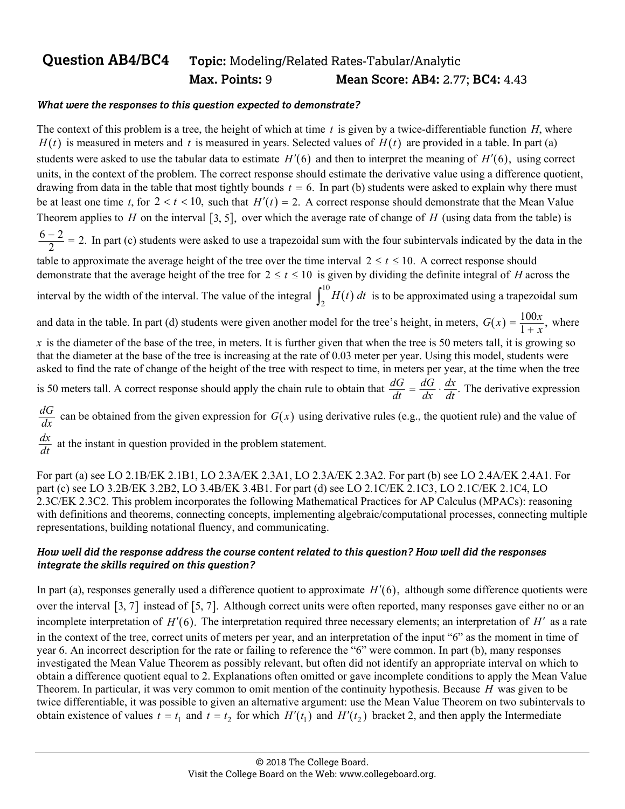## **Question AB4/BC4 Topic:** Modeling/Related Rates-Tabular/Analytic  **Max. Points:** 9 **Mean Score: AB4:** 2.77; **BC4:** 4.43

#### *What were the responses to this question expected to demonstrate?*

The context of this problem is a tree, the height of which at time *t* is given by a twice-differentiable function *H*, where  $H(t)$  is measured in meters and t is measured in years. Selected values of  $H(t)$  are provided in a table. In part (a) students were asked to use the tabular data to estimate  $H'(6)$  and then to interpret the meaning of  $H'(6)$ , using correct units, in the context of the problem. The correct response should estimate the derivative value using a difference quotient, drawing from data in the table that most tightly bounds  $t = 6$ . In part (b) students were asked to explain why there must be at least one time *t*, for  $2 < t < 10$ , such that  $H'(t) = 2$ . A correct response should demonstrate that the Mean Value Theorem applies to *H* on the interval  $\lceil 3, 5 \rceil$ , over which the average rate of change of *H* (using data from the table) is  $\frac{6-2}{2}$  = 2. In part (c) students were asked to use a trapezoidal sum with the four subintervals indicated by the data in the

table to approximate the average height of the tree over the time interval  $2 \le t \le 10$ . A correct response should demonstrate that the average height of the tree for  $2 \le t \le 10$  is given by dividing the definite integral of *H* across the

interval by the width of the interval. The value of the integral  $\int_2^{10} H(t) dt$  is to be approximated using a trapezoidal sum

and data in the table. In part (d) students were given another model for the tree's height, in meters,  $G(x) = \frac{100x}{1 + x}$ , where

 $x$  is the diameter of the base of the tree, in meters. It is further given that when the tree is 50 meters tall, it is growing so that the diameter at the base of the tree is increasing at the rate of 0.03 meter per year. Using this model, students were asked to find the rate of change of the height of the tree with respect to time, in meters per year, at the time when the tree

is 50 meters tall. A correct response should apply the chain rule to obtain that  $\frac{dG}{dt} = \frac{dG}{dx} \cdot \frac{dx}{dt}$ . The derivative expression

 $\frac{dG}{dx}$  can be obtained from the given expression for  $G(x)$  using derivative rules (e.g., the quotient rule) and the value of

 $\frac{dx}{dt}$  at the instant in question provided in the problem statement.

For part (a) see LO 2.1B/EK 2.1B1, LO 2.3A/EK 2.3A1, LO 2.3A/EK 2.3A2. For part (b) see LO 2.4A/EK 2.4A1. For part (c) see LO 3.2B/EK 3.2B2, LO 3.4B/EK 3.4B1. For part (d) see LO 2.1C/EK 2.1C3, LO 2.1C/EK 2.1C4, LO 2.3C/EK 2.3C2. This problem incorporates the following Mathematical Practices for AP Calculus (MPACs): reasoning with definitions and theorems, connecting concepts, implementing algebraic/computational processes, connecting multiple representations, building notational fluency, and communicating.

#### *How well did the response address the course content related to this question? How well did the responses integrate the skills required on this question?*

In part (a), responses generally used a difference quotient to approximate  $H'(6)$ , although some difference quotients were over the interval [3, 7] instead of [5, 7]. Although correct units were often reported, many responses gave either no or an incomplete interpretation of  $H'(6)$ . The interpretation required three necessary elements; an interpretation of  $H'$  as a rate in the context of the tree, correct units of meters per year, and an interpretation of the input "6" as the moment in time of year 6. An incorrect description for the rate or failing to reference the "6" were common. In part (b), many responses investigated the Mean Value Theorem as possibly relevant, but often did not identify an appropriate interval on which to obtain a difference quotient equal to 2. Explanations often omitted or gave incomplete conditions to apply the Mean Value Theorem. In particular, it was very common to omit mention of the continuity hypothesis. Because *H* was given to be twice differentiable, it was possible to given an alternative argument: use the Mean Value Theorem on two subintervals to obtain existence of values  $t = t_1$  and  $t = t_2$  for which  $H'(t_1)$  and  $H'(t_2)$  bracket 2, and then apply the Intermediate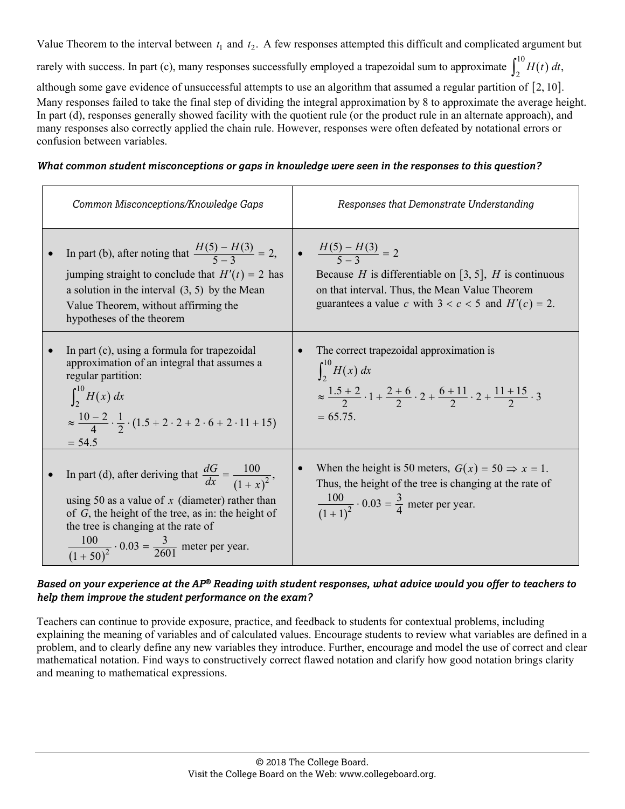Value Theorem to the interval between  $t_1$  and  $t_2$ . A few responses attempted this difficult and complicated argument but

rarely with success. In part (c), many responses successfully employed a trapezoidal sum to approximate  $\int_2^{10} H(t) dt$ ,

although some gave evidence of unsuccessful attempts to use an algorithm that assumed a regular partition of  $[2, 10]$ . Many responses failed to take the final step of dividing the integral approximation by 8 to approximate the average height. In part (d), responses generally showed facility with the quotient rule (or the product rule in an alternate approach), and many responses also correctly applied the chain rule. However, responses were often defeated by notational errors or confusion between variables.

#### *What common student misconceptions or gaps in knowledge were seen in the responses to this question?*

| Common Misconceptions/Knowledge Gaps |                                                                                                                                                                                                                                                                                                   | Responses that Demonstrate Understanding                                                                                                                                                                             |  |
|--------------------------------------|---------------------------------------------------------------------------------------------------------------------------------------------------------------------------------------------------------------------------------------------------------------------------------------------------|----------------------------------------------------------------------------------------------------------------------------------------------------------------------------------------------------------------------|--|
|                                      | In part (b), after noting that $\frac{H(5) - H(3)}{5-3} = 2$ ,<br>jumping straight to conclude that $H'(t) = 2$ has<br>a solution in the interval $(3, 5)$ by the Mean<br>Value Theorem, without affirming the<br>hypotheses of the theorem                                                       | $\frac{H(5) - H(3)}{5 - 3} = 2$<br>Because <i>H</i> is differentiable on [3, 5], <i>H</i> is continuous<br>on that interval. Thus, the Mean Value Theorem<br>guarantees a value c with $3 < c < 5$ and $H'(c) = 2$ . |  |
|                                      | In part (c), using a formula for trapezoidal<br>approximation of an integral that assumes a<br>regular partition:<br>$\int_{2}^{10} H(x) dx$<br>$\approx \frac{10-2}{4} \cdot \frac{1}{2} \cdot (1.5 + 2 \cdot 2 + 2 \cdot 6 + 2 \cdot 11 + 15)$<br>$= 54.5$                                      | The correct trapezoidal approximation is<br>$\int_{2}^{10} H(x) dx$<br>$\approx \frac{1.5+2}{2} \cdot 1 + \frac{2+6}{2} \cdot 2 + \frac{6+11}{2} \cdot 2 + \frac{11+15}{2} \cdot 3$<br>$= 65.75.$                    |  |
|                                      | In part (d), after deriving that $\frac{dG}{dx} = \frac{100}{(1+x)^2}$ ,<br>using 50 as a value of x (diameter) rather than<br>of $G$ , the height of the tree, as in: the height of<br>the tree is changing at the rate of<br>$\frac{100}{(1+50)^2} \cdot 0.03 = \frac{3}{2601}$ meter per year. | When the height is 50 meters, $G(x) = 50 \Rightarrow x = 1$ .<br>Thus, the height of the tree is changing at the rate of<br>$\frac{100}{(1+1)^2} \cdot 0.03 = \frac{3}{4}$ meter per year.                           |  |

*Based on your experience at the AP® Reading with student responses, what advice would you offer to teachers to help them improve the student performance on the exam?* 

Teachers can continue to provide exposure, practice, and feedback to students for contextual problems, including explaining the meaning of variables and of calculated values. Encourage students to review what variables are defined in a problem, and to clearly define any new variables they introduce. Further, encourage and model the use of correct and clear mathematical notation. Find ways to constructively correct flawed notation and clarify how good notation brings clarity and meaning to mathematical expressions.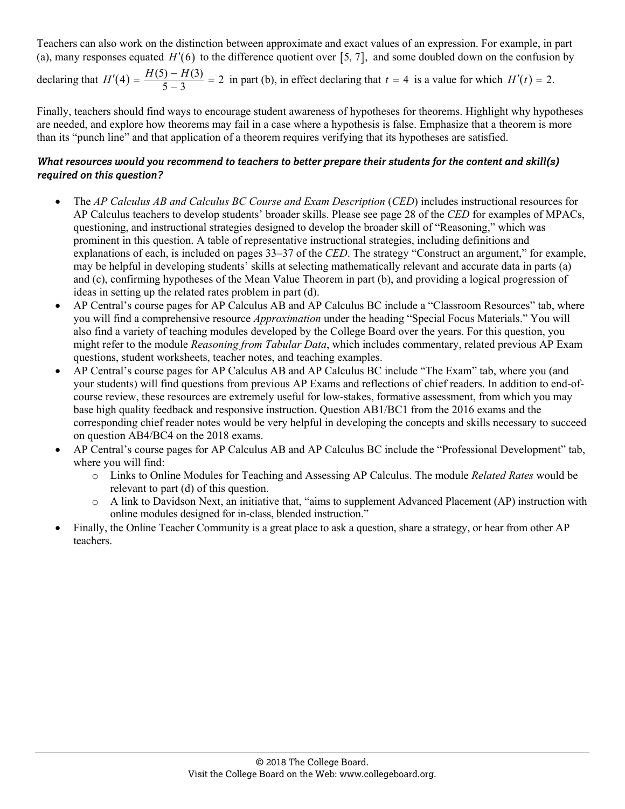Teachers can also work on the distinction between approximate and exact values of an expression. For example, in part (a), many responses equated  $H'(6)$  to the difference quotient over [5, 7], and some doubled down on the confusion by

declaring that  $H'(4) = \frac{H(5) - H(3)}{5 - 3} = 2$  in part (b), in effect declaring that  $t = 4$  is a value for which  $H'(t) = 2$ .

Finally, teachers should find ways to encourage student awareness of hypotheses for theorems. Highlight why hypotheses are needed, and explore how theorems may fail in a case where a hypothesis is false. Emphasize that a theorem is more than its "punch line" and that application of a theorem requires verifying that its hypotheses are satisfied.

- The *AP Calculus AB and Calculus BC Course and Exam Description* (*CED*) includes instructional resources for AP Calculus teachers to develop students' broader skills. Please see page 28 of the *CED* for examples of MPACs, questioning, and instructional strategies designed to develop the broader skill of "Reasoning," which was prominent in this question. A table of representative instructional strategies, including definitions and explanations of each, is included on pages 33–37 of the *CED*. The strategy "Construct an argument," for example, may be helpful in developing students' skills at selecting mathematically relevant and accurate data in parts (a) and (c), confirming hypotheses of the Mean Value Theorem in part (b), and providing a logical progression of ideas in setting up the related rates problem in part (d).
- AP Central's course pages for AP Calculus AB and AP Calculus BC include a "Classroom Resources" tab, where you will find a comprehensive resource *Approximation* under the heading "Special Focus Materials." You will also find a variety of teaching modules developed by the College Board over the years. For this question, you might refer to the module *Reasoning from Tabular Data*, which includes commentary, related previous AP Exam questions, student worksheets, teacher notes, and teaching examples.
- AP Central's course pages for AP Calculus AB and AP Calculus BC include "The Exam" tab, where you (and your students) will find questions from previous AP Exams and reflections of chief readers. In addition to end-ofcourse review, these resources are extremely useful for low-stakes, formative assessment, from which you may base high quality feedback and responsive instruction. Question AB1/BC1 from the 2016 exams and the corresponding chief reader notes would be very helpful in developing the concepts and skills necessary to succeed on question AB4/BC4 on the 2018 exams.
- AP Central's course pages for AP Calculus AB and AP Calculus BC include the "Professional Development" tab, where you will find:
	- o Links to Online Modules for Teaching and Assessing AP Calculus. The module *Related Rates* would be relevant to part (d) of this question.
	- o A link to Davidson Next, an initiative that, "aims to supplement Advanced Placement (AP) instruction with online modules designed for in-class, blended instruction."
- Finally, the Online Teacher Community is a great place to ask a question, share a strategy, or hear from other AP teachers.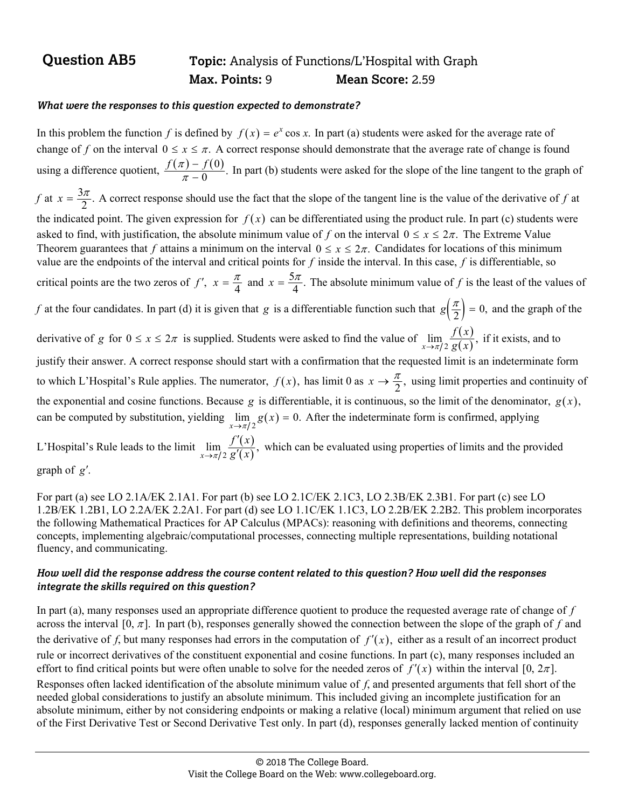## **Question AB5** Topic: Analysis of Functions/L'Hospital with Graph  **Max. Points:** 9 **Mean Score:** 2.59

#### *What were the responses to this question expected to demonstrate?*

In this problem the function *f* is defined by  $f(x) = e^x \cos x$ . In part (a) students were asked for the average rate of change of *f* on the interval  $0 \le x \le \pi$ . A correct response should demonstrate that the average rate of change is found using a difference quotient,  $\frac{f(\pi) - f(0)}{\pi - 0}$ . π  $\overline{a}$  $\frac{f(\pi)-f(0)}{\pi-0}$ . In part (b) students were asked for the slope of the line tangent to the graph of *f* at  $x = \frac{3\pi}{2}$ . A correct response should use the fact that the slope of the tangent line is the value of the derivative of *f* at the indicated point. The given expression for  $f(x)$  can be differentiated using the product rule. In part (c) students were asked to find, with justification, the absolute minimum value of f on the interval  $0 \le x \le 2\pi$ . The Extreme Value Theorem guarantees that f attains a minimum on the interval  $0 \le x \le 2\pi$ . Candidates for locations of this minimum value are the endpoints of the interval and critical points for *f* inside the interval. In this case, *f* is differentiable, so critical points are the two zeros of *f'*,  $x = \frac{\pi}{4}$  and  $x = \frac{5\pi}{4}$ . The absolute minimum value of *f* is the least of the values of *f* at the four candidates. In part (d) it is given that *g* is a differentiable function such that  $g\left(\frac{\pi}{2}\right) = 0$ , and the graph of the derivative of *g* for  $0 \le x \le 2\pi$  is supplied. Students were asked to find the value of  $\lim_{x \to \pi/2} \frac{f(x)}{g(x)}$ , *f x*  $\frac{f(x)}{g(x)}$ , if it exists, and to justify their answer. A correct response should start with a confirmation that the requested limit is an indeterminate form to which L'Hospital's Rule applies. The numerator,  $f(x)$ , has limit 0 as  $x \to \frac{\pi}{2}$ , using limit properties and continuity of the exponential and cosine functions. Because  $g$  is differentiable, it is continuous, so the limit of the denominator,  $g(x)$ , can be computed by substitution, yielding  $\lim_{x\to\pi/2} g(x) = 0$ . After the indeterminate form is confirmed, applying L'Hospital's Rule leads to the limit  $\lim_{x \to \pi/2} \frac{f'(x)}{g'(x)}$ ,  $\overline{\phantom{a}}$  $\lim_{x\to\pi/2}$   $\overline{g'}$  $\frac{f'(x)}{g'(x)}$ , which can be evaluated using properties of limits and the provided graph of *g*.

For part (a) see LO 2.1A/EK 2.1A1. For part (b) see LO 2.1C/EK 2.1C3, LO 2.3B/EK 2.3B1. For part (c) see LO 1.2B/EK 1.2B1, LO 2.2A/EK 2.2A1. For part (d) see LO 1.1C/EK 1.1C3, LO 2.2B/EK 2.2B2. This problem incorporates the following Mathematical Practices for AP Calculus (MPACs): reasoning with definitions and theorems, connecting concepts, implementing algebraic/computational processes, connecting multiple representations, building notational fluency, and communicating.

#### *How well did the response address the course content related to this question? How well did the responses integrate the skills required on this question?*

In part (a), many responses used an appropriate difference quotient to produce the requested average rate of change of *f* across the interval [0,  $\pi$ ]. In part (b), responses generally showed the connection between the slope of the graph of *f* and the derivative of *f*, but many responses had errors in the computation of  $f'(x)$ , either as a result of an incorrect product rule or incorrect derivatives of the constituent exponential and cosine functions. In part (c), many responses included an effort to find critical points but were often unable to solve for the needed zeros of  $f'(x)$  within the interval [0,  $2\pi$ ]. Responses often lacked identification of the absolute minimum value of *f*, and presented arguments that fell short of the needed global considerations to justify an absolute minimum. This included giving an incomplete justification for an absolute minimum, either by not considering endpoints or making a relative (local) minimum argument that relied on use of the First Derivative Test or Second Derivative Test only. In part (d), responses generally lacked mention of continuity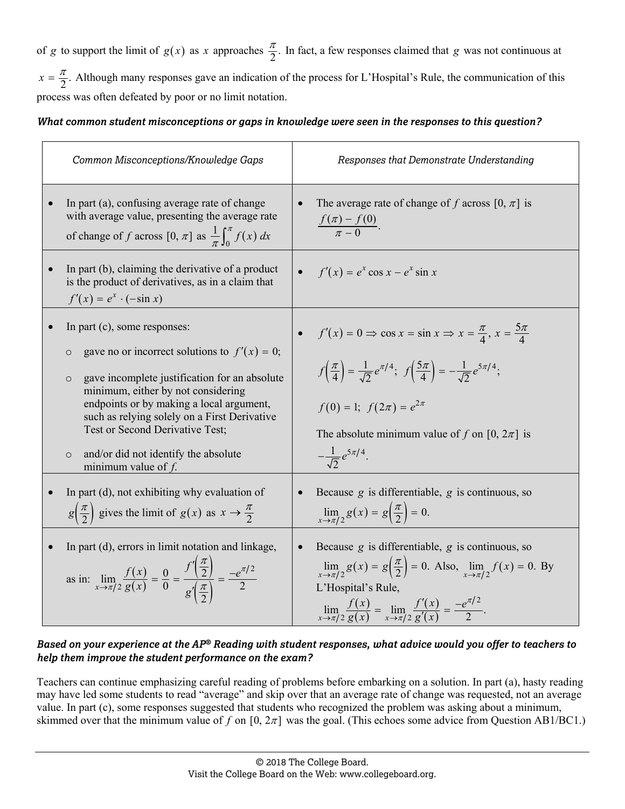of *g* to support the limit of  $g(x)$  as *x* approaches  $\frac{\pi}{2}$ . In fact, a few responses claimed that *g* was not continuous at  $x = \frac{\pi}{2}$ . Although many responses gave an indication of the process for L'Hospital's Rule, the communication of this process was often defeated by poor or no limit notation.

#### *What common student misconceptions or gaps in knowledge were seen in the responses to this question?*

| Common Misconceptions/Knowledge Gaps                                                                                                                                                                                                                                                                                                                                                                        | Responses that Demonstrate Understanding                                                                                                                                                                                                                                                                                                                    |
|-------------------------------------------------------------------------------------------------------------------------------------------------------------------------------------------------------------------------------------------------------------------------------------------------------------------------------------------------------------------------------------------------------------|-------------------------------------------------------------------------------------------------------------------------------------------------------------------------------------------------------------------------------------------------------------------------------------------------------------------------------------------------------------|
| In part (a), confusing average rate of change<br>with average value, presenting the average rate<br>of change of f across $[0, \pi]$ as $\frac{1}{\pi} \int_0^{\pi} f(x) dx$                                                                                                                                                                                                                                | The average rate of change of f across $[0, \pi]$ is<br>$\frac{f(\pi)-f(0)}{\pi-0}.$                                                                                                                                                                                                                                                                        |
| In part (b), claiming the derivative of a product<br>is the product of derivatives, as in a claim that<br>$f'(x) = e^x \cdot (-\sin x)$                                                                                                                                                                                                                                                                     | $f'(x) = e^x \cos x - e^x \sin x$                                                                                                                                                                                                                                                                                                                           |
| In part $(c)$ , some responses:<br>gave no or incorrect solutions to $f'(x) = 0$ ;<br>$\circ$<br>gave incomplete justification for an absolute<br>$\circ$<br>minimum, either by not considering<br>endpoints or by making a local argument,<br>such as relying solely on a First Derivative<br>Test or Second Derivative Test;<br>and/or did not identify the absolute<br>$\circ$<br>minimum value of $f$ . | $f'(x) = 0 \Rightarrow \cos x = \sin x \Rightarrow x = \frac{\pi}{4}, x = \frac{5\pi}{4}$<br>$f\left(\frac{\pi}{4}\right) = \frac{1}{\sqrt{2}}e^{\pi/4}$ ; $f\left(\frac{5\pi}{4}\right) = -\frac{1}{\sqrt{2}}e^{5\pi/4}$ ;<br>$f(0) = 1$ ; $f(2\pi) = e^{2\pi}$<br>The absolute minimum value of f on [0, $2\pi$ ] is<br>$-\frac{1}{\sqrt{2}}e^{5\pi/4}$ . |
| In part (d), not exhibiting why evaluation of<br>$g\left(\frac{\pi}{2}\right)$ gives the limit of $g(x)$ as $x \to \frac{\pi}{2}$                                                                                                                                                                                                                                                                           | Because $g$ is differentiable, $g$ is continuous, so<br>$\lim_{x\to\pi/2}g(x)=g\left(\frac{\pi}{2}\right)=0.$                                                                                                                                                                                                                                               |
| In part (d), errors in limit notation and linkage,<br>as in: $\lim_{x \to \pi/2} \frac{f(x)}{g(x)} = \frac{0}{0} = \frac{f'(\frac{\pi}{2})}{g'(\frac{\pi}{2})} = \frac{-e^{\pi/2}}{2}$                                                                                                                                                                                                                      | Because $g$ is differentiable, $g$ is continuous, so<br>$\lim_{x \to \pi/2} g(x) = g\left(\frac{\pi}{2}\right) = 0$ . Also, $\lim_{x \to \pi/2} f(x) = 0$ . By<br>L'Hospital's Rule,<br>$\lim_{x \to \pi/2} \frac{f(x)}{g(x)} = \lim_{x \to \pi/2} \frac{f'(x)}{g'(x)} = \frac{-e^{\pi/2}}{2}.$                                                             |

#### *Based on your experience at the AP® Reading with student responses, what advice would you offer to teachers to help them improve the student performance on the exam?*

Teachers can continue emphasizing careful reading of problems before embarking on a solution. In part (a), hasty reading may have led some students to read "average" and skip over that an average rate of change was requested, not an average value. In part (c), some responses suggested that students who recognized the problem was asking about a minimum, skimmed over that the minimum value of f on  $[0, 2\pi]$  was the goal. (This echoes some advice from Question AB1/BC1.)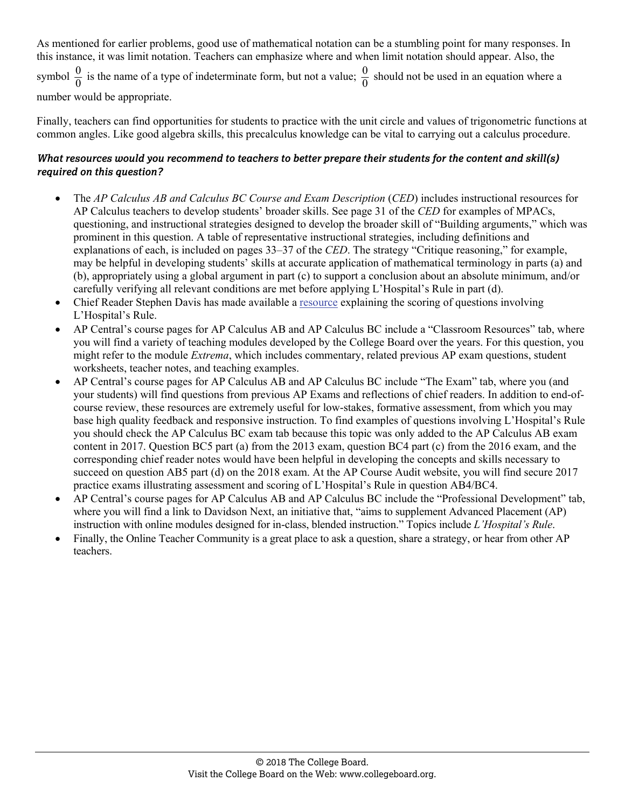As mentioned for earlier problems, good use of mathematical notation can be a stumbling point for many responses. In this instance, it was limit notation. Teachers can emphasize where and when limit notation should appear. Also, the symbol  $\frac{0}{0}$  is the name of a type of indeterminate form, but not a value;  $\frac{0}{0}$  should not be used in an equation where a

number would be appropriate.

Finally, teachers can find opportunities for students to practice with the unit circle and values of trigonometric functions at common angles. Like good algebra skills, this precalculus knowledge can be vital to carrying out a calculus procedure.

- The *AP Calculus AB and Calculus BC Course and Exam Description* (*CED*) includes instructional resources for AP Calculus teachers to develop students' broader skills. See page 31 of the *CED* for examples of MPACs, questioning, and instructional strategies designed to develop the broader skill of "Building arguments," which was prominent in this question. A table of representative instructional strategies, including definitions and explanations of each, is included on pages 33–37 of the *CED*. The strategy "Critique reasoning," for example, may be helpful in developing students' skills at accurate application of mathematical terminology in parts (a) and (b), appropriately using a global argument in part (c) to support a conclusion about an absolute minimum, and/or carefully verifying all relevant conditions are met before applying L'Hospital's Rule in part (d).
- Chief Reader Stephen Davis has made available a [resource](http://www.ncaapmt.org/archive/crTalks/2017-LHospital-handout.pdf) explaining the scoring of questions involving L'Hospital's Rule.
- AP Central's course pages for AP Calculus AB and AP Calculus BC include a "Classroom Resources" tab, where you will find a variety of teaching modules developed by the College Board over the years. For this question, you might refer to the module *Extrema*, which includes commentary, related previous AP exam questions, student worksheets, teacher notes, and teaching examples.
- AP Central's course pages for AP Calculus AB and AP Calculus BC include "The Exam" tab, where you (and your students) will find questions from previous AP Exams and reflections of chief readers. In addition to end-ofcourse review, these resources are extremely useful for low-stakes, formative assessment, from which you may base high quality feedback and responsive instruction. To find examples of questions involving L'Hospital's Rule you should check the AP Calculus BC exam tab because this topic was only added to the AP Calculus AB exam content in 2017. Question BC5 part (a) from the 2013 exam, question BC4 part (c) from the 2016 exam, and the corresponding chief reader notes would have been helpful in developing the concepts and skills necessary to succeed on question AB5 part (d) on the 2018 exam. At the AP Course Audit website, you will find secure 2017 practice exams illustrating assessment and scoring of L'Hospital's Rule in question AB4/BC4.
- AP Central's course pages for AP Calculus AB and AP Calculus BC include the "Professional Development" tab, where you will find a link to Davidson Next, an initiative that, "aims to supplement Advanced Placement (AP) instruction with online modules designed for in-class, blended instruction." Topics include *L'Hospital's Rule*.
- Finally, the Online Teacher Community is a great place to ask a question, share a strategy, or hear from other AP teachers.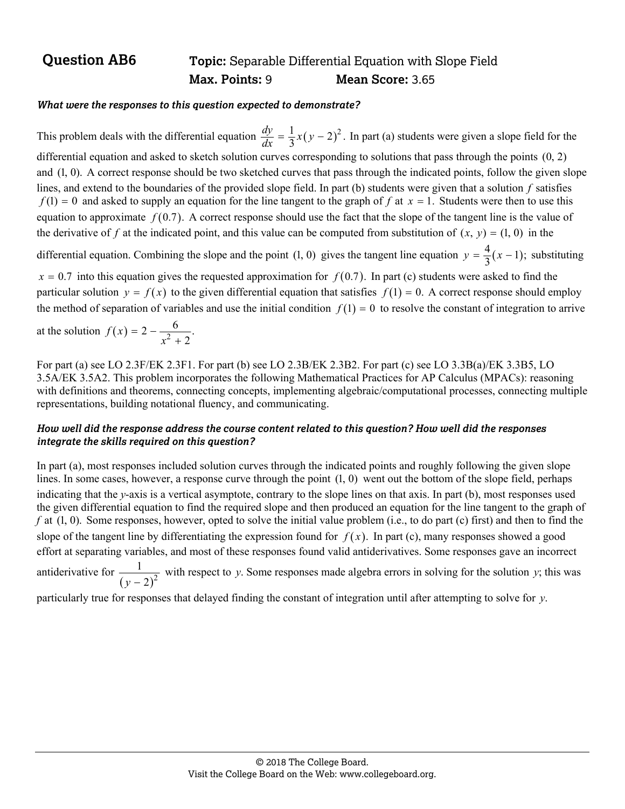## **Question AB6** Topic: Separable Differential Equation with Slope Field  **Max. Points:** 9 **Mean Score:** 3.65

#### *What were the responses to this question expected to demonstrate?*

This problem deals with the differential equation  $\frac{dy}{dx} = \frac{1}{3}x(y-2)^2$ . In part (a) students were given a slope field for the differential equation and asked to sketch solution curves corresponding to solutions that pass through the points (0, 2) and (1, 0). A correct response should be two sketched curves that pass through the indicated points, follow the given slope lines, and extend to the boundaries of the provided slope field. In part (b) students were given that a solution *f* satisfies  $f(1) = 0$  and asked to supply an equation for the line tangent to the graph of *f* at  $x = 1$ . Students were then to use this equation to approximate  $f(0.7)$ . A correct response should use the fact that the slope of the tangent line is the value of the derivative of f at the indicated point, and this value can be computed from substitution of  $(x, y) = (1, 0)$  in the

differential equation. Combining the slope and the point (1, 0) gives the tangent line equation  $y = \frac{4}{3}(x - 1)$ ; substituting

 $x = 0.7$  into this equation gives the requested approximation for  $f(0.7)$ . In part (c) students were asked to find the particular solution  $y = f(x)$  to the given differential equation that satisfies  $f(1) = 0$ . A correct response should employ the method of separation of variables and use the initial condition  $f(1) = 0$  to resolve the constant of integration to arrive

at the solution  $f(x) = 2 - \frac{6}{x^2 + 2}$ . *x*

For part (a) see LO 2.3F/EK 2.3F1. For part (b) see LO 2.3B/EK 2.3B2. For part (c) see LO 3.3B(a)/EK 3.3B5, LO 3.5A/EK 3.5A2. This problem incorporates the following Mathematical Practices for AP Calculus (MPACs): reasoning with definitions and theorems, connecting concepts, implementing algebraic/computational processes, connecting multiple representations, building notational fluency, and communicating.

#### *How well did the response address the course content related to this question? How well did the responses integrate the skills required on this question?*

In part (a), most responses included solution curves through the indicated points and roughly following the given slope lines. In some cases, however, a response curve through the point (1, 0) went out the bottom of the slope field, perhaps indicating that the *y*-axis is a vertical asymptote, contrary to the slope lines on that axis. In part (b), most responses used the given differential equation to find the required slope and then produced an equation for the line tangent to the graph of *f* at (1, 0). Some responses, however, opted to solve the initial value problem (i.e., to do part (c) first) and then to find the slope of the tangent line by differentiating the expression found for  $f(x)$ . In part (c), many responses showed a good effort at separating variables, and most of these responses found valid antiderivatives. Some responses gave an incorrect antiderivative for  $\frac{1}{(y-2)^2}$ 1  $y - 2$ with respect to *y*. Some responses made algebra errors in solving for the solution *y*; this was

particularly true for responses that delayed finding the constant of integration until after attempting to solve for *y*.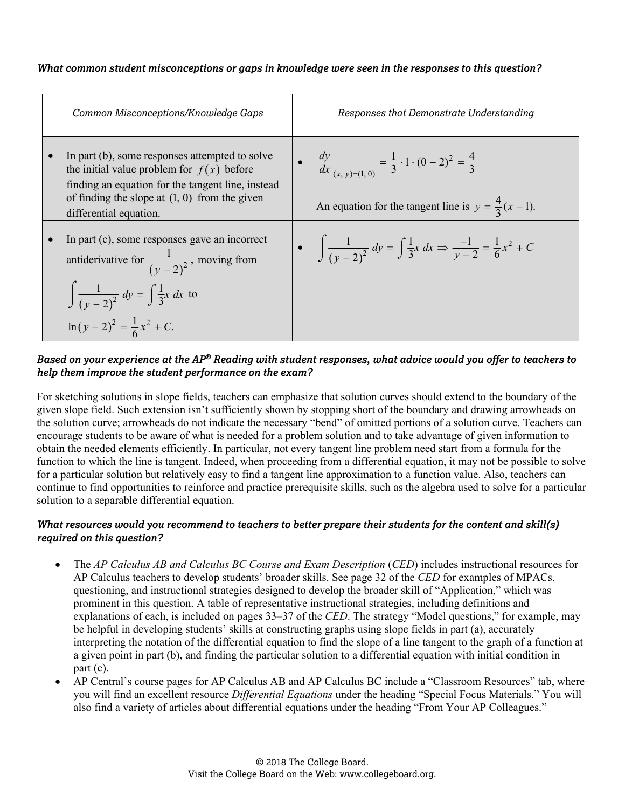#### *What common student misconceptions or gaps in knowledge were seen in the responses to this question?*

| Common Misconceptions/Knowledge Gaps                                                                                                                                                                                            | Responses that Demonstrate Understanding                                                                                                                   |
|---------------------------------------------------------------------------------------------------------------------------------------------------------------------------------------------------------------------------------|------------------------------------------------------------------------------------------------------------------------------------------------------------|
| In part (b), some responses attempted to solve<br>the initial value problem for $f(x)$ before<br>finding an equation for the tangent line, instead<br>of finding the slope at $(1, 0)$ from the given<br>differential equation. | • $\frac{dy}{dx}\Big _{(x, y)=(1, 0)} = \frac{1}{3} \cdot 1 \cdot (0 - 2)^2 = \frac{4}{3}$<br>An equation for the tangent line is $y = \frac{4}{3}(x-1)$ . |
| In part (c), some responses gave an incorrect<br>antiderivative for $\frac{1}{(y-2)^2}$ , moving from<br>$\int \frac{1}{(y-2)^2} dy = \int \frac{1}{3}x dx$ to<br>$\ln(y-2)^2 = \frac{1}{6}x^2 + C.$                            | • $\int \frac{1}{(y-2)^2} dy = \int \frac{1}{3}x dx \Rightarrow \frac{-1}{y-2} = \frac{1}{6}x^2 + C$                                                       |

#### *Based on your experience at the AP® Reading with student responses, what advice would you offer to teachers to help them improve the student performance on the exam?*

For sketching solutions in slope fields, teachers can emphasize that solution curves should extend to the boundary of the given slope field. Such extension isn't sufficiently shown by stopping short of the boundary and drawing arrowheads on the solution curve; arrowheads do not indicate the necessary "bend" of omitted portions of a solution curve. Teachers can encourage students to be aware of what is needed for a problem solution and to take advantage of given information to obtain the needed elements efficiently. In particular, not every tangent line problem need start from a formula for the function to which the line is tangent. Indeed, when proceeding from a differential equation, it may not be possible to solve for a particular solution but relatively easy to find a tangent line approximation to a function value. Also, teachers can continue to find opportunities to reinforce and practice prerequisite skills, such as the algebra used to solve for a particular solution to a separable differential equation.

- The *AP Calculus AB and Calculus BC Course and Exam Description* (*CED*) includes instructional resources for AP Calculus teachers to develop students' broader skills. See page 32 of the *CED* for examples of MPACs, questioning, and instructional strategies designed to develop the broader skill of "Application," which was prominent in this question. A table of representative instructional strategies, including definitions and explanations of each, is included on pages 33–37 of the *CED*. The strategy "Model questions," for example, may be helpful in developing students' skills at constructing graphs using slope fields in part (a), accurately interpreting the notation of the differential equation to find the slope of a line tangent to the graph of a function at a given point in part (b), and finding the particular solution to a differential equation with initial condition in part (c).
- AP Central's course pages for AP Calculus AB and AP Calculus BC include a "Classroom Resources" tab, where you will find an excellent resource *Differential Equations* under the heading "Special Focus Materials." You will also find a variety of articles about differential equations under the heading "From Your AP Colleagues."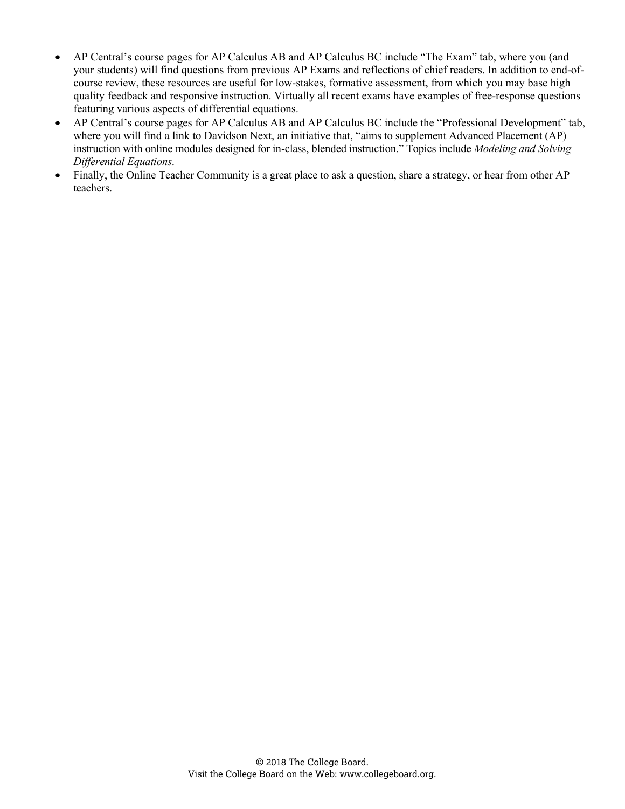- AP Central's course pages for AP Calculus AB and AP Calculus BC include "The Exam" tab, where you (and your students) will find questions from previous AP Exams and reflections of chief readers. In addition to end-ofcourse review, these resources are useful for low-stakes, formative assessment, from which you may base high quality feedback and responsive instruction. Virtually all recent exams have examples of free-response questions featuring various aspects of differential equations.
- AP Central's course pages for AP Calculus AB and AP Calculus BC include the "Professional Development" tab, where you will find a link to Davidson Next, an initiative that, "aims to supplement Advanced Placement (AP) instruction with online modules designed for in-class, blended instruction." Topics include *Modeling and Solving Differential Equations*.
- Finally, the Online Teacher Community is a great place to ask a question, share a strategy, or hear from other AP teachers.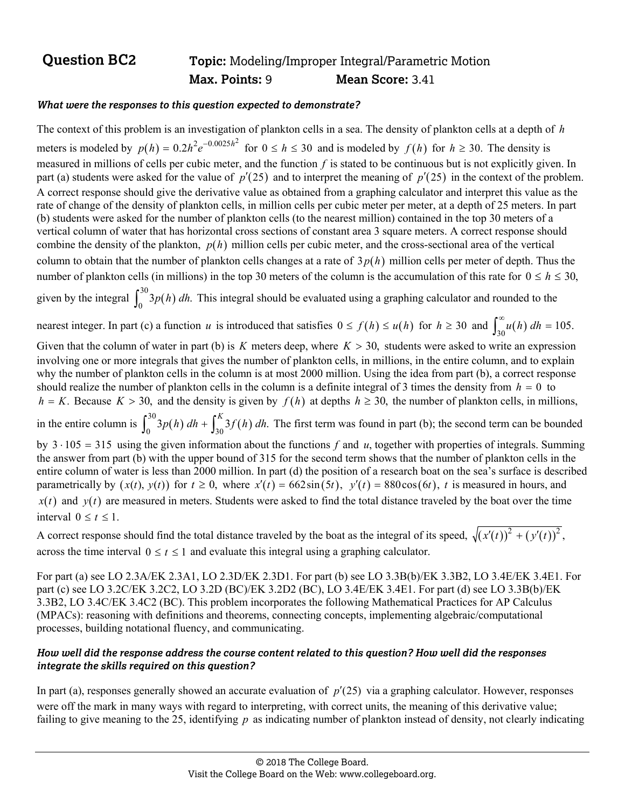## **Question BC2** Topic: Modeling/Improper Integral/Parametric Motion  **Max. Points:** 9 **Mean Score:** 3.41

#### *What were the responses to this question expected to demonstrate?*

The context of this problem is an investigation of plankton cells in a sea. The density of plankton cells at a depth of *h* meters is modeled by  $p(h) = 0.2h^2e^{-0.0025h^2}$  for  $0 \le h \le 30$  and is modeled by  $f(h)$  for  $h \ge 30$ . The density is measured in millions of cells per cubic meter, and the function *f* is stated to be continuous but is not explicitly given. In part (a) students were asked for the value of  $p'(25)$  and to interpret the meaning of  $p'(25)$  in the context of the problem. A correct response should give the derivative value as obtained from a graphing calculator and interpret this value as the rate of change of the density of plankton cells, in million cells per cubic meter per meter, at a depth of 25 meters. In part (b) students were asked for the number of plankton cells (to the nearest million) contained in the top 30 meters of a vertical column of water that has horizontal cross sections of constant area 3 square meters. A correct response should combine the density of the plankton,  $p(h)$  million cells per cubic meter, and the cross-sectional area of the vertical column to obtain that the number of plankton cells changes at a rate of  $3p(h)$  million cells per meter of depth. Thus the number of plankton cells (in millions) in the top 30 meters of the column is the accumulation of this rate for  $0 \le h \le 30$ , given by the integral  $\int_0^{30} 3p(h) dh$ . This integral should be evaluated using a graphing calculator and rounded to the nearest integer. In part (c) a function *u* is introduced that satisfies  $0 \le f(h) \le u(h)$  for  $h \ge 30$  and  $\int_{30}^{\infty} u(h) dh = 105$ . Given that the column of water in part (b) is  $K$  meters deep, where  $K > 30$ , students were asked to write an expression involving one or more integrals that gives the number of plankton cells, in millions, in the entire column, and to explain why the number of plankton cells in the column is at most 2000 million. Using the idea from part (b), a correct response should realize the number of plankton cells in the column is a definite integral of 3 times the density from  $h = 0$  to  $h = K$ . Because  $K > 30$ , and the density is given by  $f(h)$  at depths  $h \ge 30$ , the number of plankton cells, in millions, in the entire column is  $\int_0^{30} 3p(h) dh + \int_{30}^K 3f(h) dh$ . The first term was found in part (b); the second term can be bounded by  $3 \cdot 105 = 315$  using the given information about the functions *f* and *u*, together with properties of integrals. Summing the answer from part (b) with the upper bound of 315 for the second term shows that the number of plankton cells in the entire column of water is less than 2000 million. In part (d) the position of a research boat on the sea's surface is described parametrically by  $(x(t), y(t))$  for  $t \ge 0$ , where  $x'(t) = 662\sin(5t)$ ,  $y'(t) = 880\cos(6t)$ , t is measured in hours, and  $x(t)$  and  $y(t)$  are measured in meters. Students were asked to find the total distance traveled by the boat over the time

interval  $0 \le t \le 1$ .

A correct response should find the total distance traveled by the boat as the integral of its speed,  $\sqrt{(x'(t))^2 + (y'(t))^2}$ , across the time interval  $0 \le t \le 1$  and evaluate this integral using a graphing calculator.

For part (a) see LO 2.3A/EK 2.3A1, LO 2.3D/EK 2.3D1. For part (b) see LO 3.3B(b)/EK 3.3B2, LO 3.4E/EK 3.4E1. For part (c) see LO 3.2C/EK 3.2C2, LO 3.2D (BC)/EK 3.2D2 (BC), LO 3.4E/EK 3.4E1. For part (d) see LO 3.3B(b)/EK 3.3B2, LO 3.4C/EK 3.4C2 (BC). This problem incorporates the following Mathematical Practices for AP Calculus (MPACs): reasoning with definitions and theorems, connecting concepts, implementing algebraic/computational processes, building notational fluency, and communicating.

#### *How well did the response address the course content related to this question? How well did the responses integrate the skills required on this question?*

In part (a), responses generally showed an accurate evaluation of  $p'(25)$  via a graphing calculator. However, responses were off the mark in many ways with regard to interpreting, with correct units, the meaning of this derivative value; failing to give meaning to the 25, identifying p as indicating number of plankton instead of density, not clearly indicating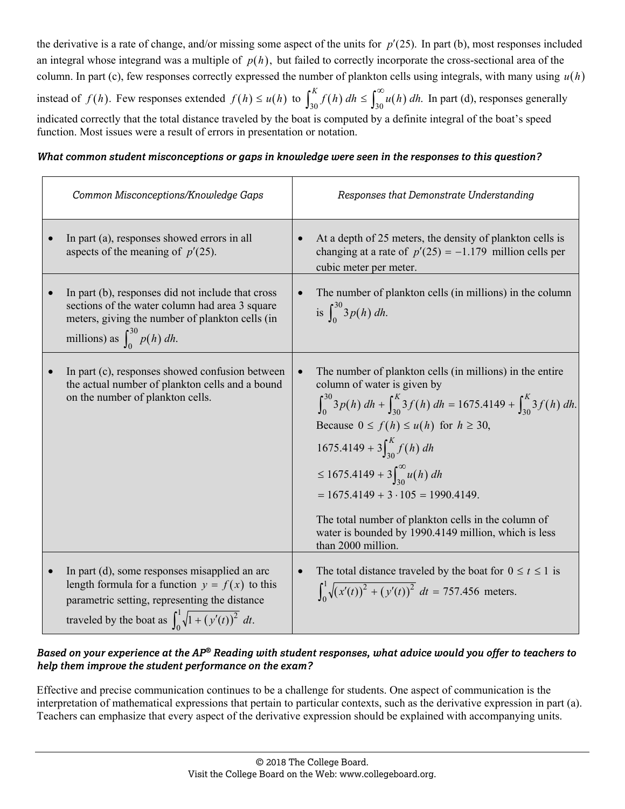the derivative is a rate of change, and/or missing some aspect of the units for  $p'(25)$ . In part (b), most responses included an integral whose integrand was a multiple of  $p(h)$ , but failed to correctly incorporate the cross-sectional area of the column. In part (c), few responses correctly expressed the number of plankton cells using integrals, with many using  $u(h)$ 

instead of  $f(h)$ . Few responses extended  $f(h) \le u(h)$  to  $\int_{30}^{K} f(h) dh \le \int_{30}^{\infty} u(h) dh$ . In part (d), responses generally indicated correctly that the total distance traveled by the boat is computed by a definite integral of the boat's speed function. Most issues were a result of errors in presentation or notation.

*What common student misconceptions or gaps in knowledge were seen in the responses to this question?* 

| Common Misconceptions/Knowledge Gaps                                                                                                                                                                                            | Responses that Demonstrate Understanding                                                                                                                                                                                                                                                                                                                                                                                                                                                                                    |
|---------------------------------------------------------------------------------------------------------------------------------------------------------------------------------------------------------------------------------|-----------------------------------------------------------------------------------------------------------------------------------------------------------------------------------------------------------------------------------------------------------------------------------------------------------------------------------------------------------------------------------------------------------------------------------------------------------------------------------------------------------------------------|
| In part (a), responses showed errors in all<br>aspects of the meaning of $p'(25)$ .                                                                                                                                             | At a depth of 25 meters, the density of plankton cells is<br>changing at a rate of $p'(25) = -1.179$ million cells per<br>cubic meter per meter.                                                                                                                                                                                                                                                                                                                                                                            |
| In part (b), responses did not include that cross<br>sections of the water column had area 3 square<br>meters, giving the number of plankton cells (in<br>millions) as $\int_{0}^{30} p(h) dh$ .                                | The number of plankton cells (in millions) in the column<br>is $\int_{0}^{30} 3p(h) dh$ .                                                                                                                                                                                                                                                                                                                                                                                                                                   |
| In part (c), responses showed confusion between<br>$\bullet$<br>the actual number of plankton cells and a bound<br>on the number of plankton cells.                                                                             | The number of plankton cells (in millions) in the entire<br>$\bullet$<br>column of water is given by<br>$\int_0^{30} 3p(h) dh + \int_{30}^{K} 3f(h) dh = 1675.4149 + \int_{30}^{K} 3f(h) dh.$<br>Because $0 \le f(h) \le u(h)$ for $h \ge 30$ ,<br>$1675.4149 + 3\int_{30}^{K} f(h) dh$<br>$\leq 1675.4149 + 3 \int_{30}^{\infty} u(h) dh$<br>$= 1675.4149 + 3 \cdot 105 = 1990.4149.$<br>The total number of plankton cells in the column of<br>water is bounded by 1990.4149 million, which is less<br>than 2000 million. |
| In part (d), some responses misapplied an arc<br>$\bullet$<br>length formula for a function $y = f(x)$ to this<br>parametric setting, representing the distance<br>traveled by the boat as $\int_0^1 \sqrt{1 + (y'(t))^2} dt$ . | The total distance traveled by the boat for $0 \le t \le 1$ is<br>$\int_0^1 \sqrt{(x'(t))^2 + (y'(t))^2} dt = 757.456$ meters.                                                                                                                                                                                                                                                                                                                                                                                              |

### *Based on your experience at the AP® Reading with student responses, what advice would you offer to teachers to help them improve the student performance on the exam?*

Effective and precise communication continues to be a challenge for students. One aspect of communication is the interpretation of mathematical expressions that pertain to particular contexts, such as the derivative expression in part (a). Teachers can emphasize that every aspect of the derivative expression should be explained with accompanying units.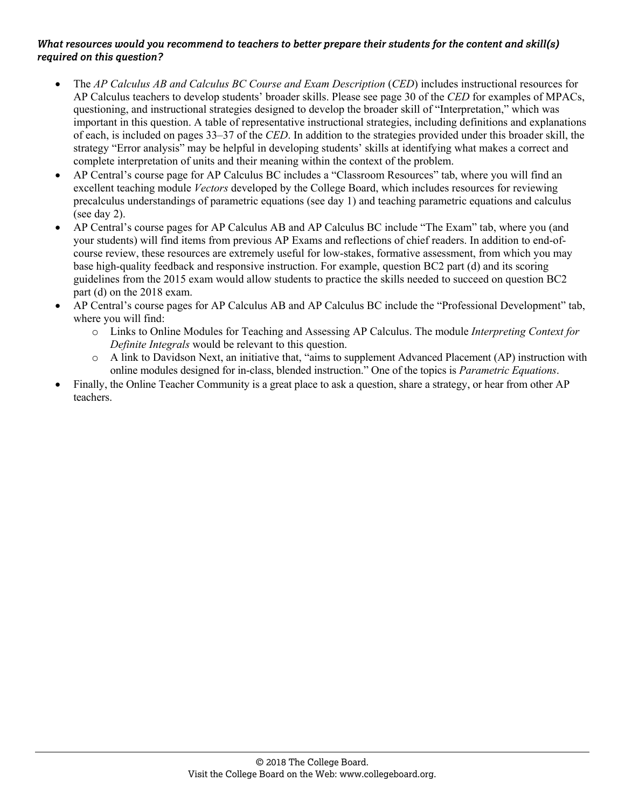- The *AP Calculus AB and Calculus BC Course and Exam Description* (*CED*) includes instructional resources for AP Calculus teachers to develop students' broader skills. Please see page 30 of the *CED* for examples of MPACs, questioning, and instructional strategies designed to develop the broader skill of "Interpretation," which was important in this question. A table of representative instructional strategies, including definitions and explanations of each, is included on pages 33–37 of the *CED*. In addition to the strategies provided under this broader skill, the strategy "Error analysis" may be helpful in developing students' skills at identifying what makes a correct and complete interpretation of units and their meaning within the context of the problem.
- AP Central's course page for AP Calculus BC includes a "Classroom Resources" tab, where you will find an excellent teaching module *Vectors* developed by the College Board, which includes resources for reviewing precalculus understandings of parametric equations (see day 1) and teaching parametric equations and calculus (see day 2).
- AP Central's course pages for AP Calculus AB and AP Calculus BC include "The Exam" tab, where you (and your students) will find items from previous AP Exams and reflections of chief readers. In addition to end-ofcourse review, these resources are extremely useful for low-stakes, formative assessment, from which you may base high-quality feedback and responsive instruction. For example, question BC2 part (d) and its scoring guidelines from the 2015 exam would allow students to practice the skills needed to succeed on question BC2 part (d) on the 2018 exam.
- AP Central's course pages for AP Calculus AB and AP Calculus BC include the "Professional Development" tab, where you will find:
	- o Links to Online Modules for Teaching and Assessing AP Calculus. The module *Interpreting Context for Definite Integrals* would be relevant to this question.
	- o A link to Davidson Next, an initiative that, "aims to supplement Advanced Placement (AP) instruction with online modules designed for in-class, blended instruction." One of the topics is *Parametric Equations*.
- Finally, the Online Teacher Community is a great place to ask a question, share a strategy, or hear from other AP teachers.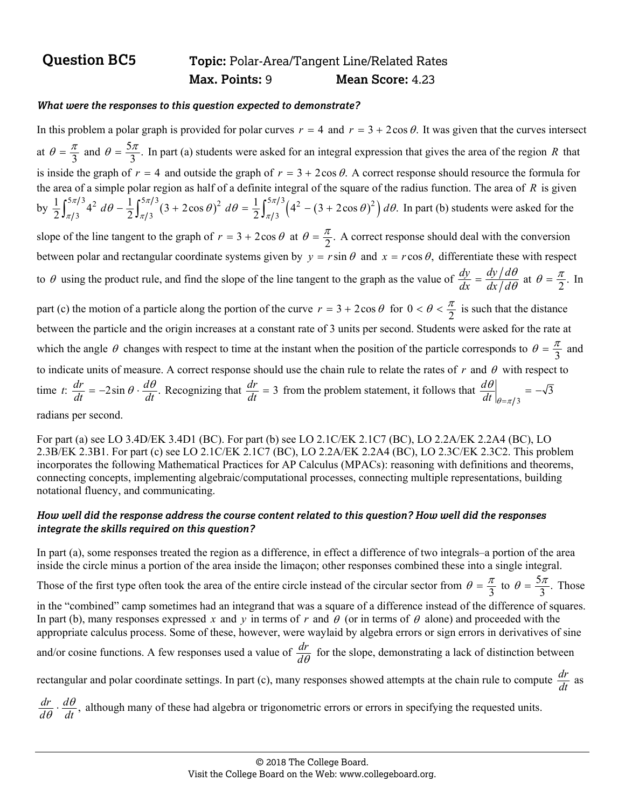## **Question BC5 Topic:** Polar-Area/Tangent Line/Related Rates  **Max. Points:** 9 **Mean Score:** 4.23

#### *What were the responses to this question expected to demonstrate?*

In this problem a polar graph is provided for polar curves  $r = 4$  and  $r = 3 + 2\cos \theta$ . It was given that the curves intersect at  $\theta = \frac{\pi}{3}$  and  $\theta = \frac{5\pi}{3}$ . In part (a) students were asked for an integral expression that gives the area of the region *R* that is inside the graph of  $r = 4$  and outside the graph of  $r = 3 + 2\cos \theta$ . A correct response should resource the formula for the area of a simple polar region as half of a definite integral of the square of the radius function. The area of *R* is given by  $\frac{1}{2} \int_{\pi/3}^{5\pi/3} 4^2 d\theta - \frac{1}{2} \int_{\pi/3}^{5\pi/3} (3 + 2\cos \theta)^2 d\theta = \frac{1}{2} \int_{\pi/3}^{5\pi/3} (4^2 - (3 + 2\cos \theta)^2) d\theta$ . In part (b) students were asked for the slope of the line tangent to the graph of  $r = 3 + 2\cos\theta$  at  $\theta = \frac{\pi}{2}$ . A correct response should deal with the conversion between polar and rectangular coordinate systems given by  $y = r \sin \theta$  and  $x = r \cos \theta$ , differentiate these with respect to  $\theta$  using the product rule, and find the slope of the line tangent to the graph as the value of  $\frac{dy}{dx} = \frac{dy/d\theta}{dx/d\theta}$  at  $\theta = \frac{\pi}{2}$ . In part (c) the motion of a particle along the portion of the curve  $r = 3 + 2\cos\theta$  for  $0 < \theta < \frac{\pi}{2}$  is such that the distance between the particle and the origin increases at a constant rate of 3 units per second. Students were asked for the rate at which the angle  $\theta$  changes with respect to time at the instant when the position of the particle corresponds to  $\theta = \frac{\pi}{3}$  and to indicate units of measure. A correct response should use the chain rule to relate the rates of  $r$  and  $\theta$  with respect to time *t*:  $\frac{dr}{dt} = -2\sin\theta \cdot \frac{d\theta}{dt}$ . Recognizing that  $\frac{dr}{dt} = 3$  from the problem statement, it follows that  $\frac{d\theta}{dt}\Big|_{\theta=\pi/3}$  $=-\sqrt{3}$  $\theta$ =  $\left. \frac{d\theta}{dt} \right|_{\theta = \pi/3} = -$ 

radians per second.

For part (a) see LO 3.4D/EK 3.4D1 (BC). For part (b) see LO 2.1C/EK 2.1C7 (BC), LO 2.2A/EK 2.2A4 (BC), LO 2.3B/EK 2.3B1. For part (c) see LO 2.1C/EK 2.1C7 (BC), LO 2.2A/EK 2.2A4 (BC), LO 2.3C/EK 2.3C2. This problem incorporates the following Mathematical Practices for AP Calculus (MPACs): reasoning with definitions and theorems, connecting concepts, implementing algebraic/computational processes, connecting multiple representations, building notational fluency, and communicating.

#### *How well did the response address the course content related to this question? How well did the responses integrate the skills required on this question?*

In part (a), some responses treated the region as a difference, in effect a difference of two integrals–a portion of the area inside the circle minus a portion of the area inside the limaçon; other responses combined these into a single integral.

Those of the first type often took the area of the entire circle instead of the circular sector from  $\theta = \frac{\pi}{3}$  to  $\theta = \frac{5\pi}{3}$ . Those

in the "combined" camp sometimes had an integrand that was a square of a difference instead of the difference of squares. In part (b), many responses expressed x and y in terms of r and  $\theta$  (or in terms of  $\theta$  alone) and proceeded with the appropriate calculus process. Some of these, however, were waylaid by algebra errors or sign errors in derivatives of sine and/or cosine functions. A few responses used a value of  $\frac{dr}{d\theta}$  for the slope, demonstrating a lack of distinction between

rectangular and polar coordinate settings. In part (c), many responses showed attempts at the chain rule to compute  $\frac{dr}{dt}$  as

 $\frac{dr}{d\theta} \cdot \frac{d\theta}{dt}$ , although many of these had algebra or trigonometric errors or errors in specifying the requested units.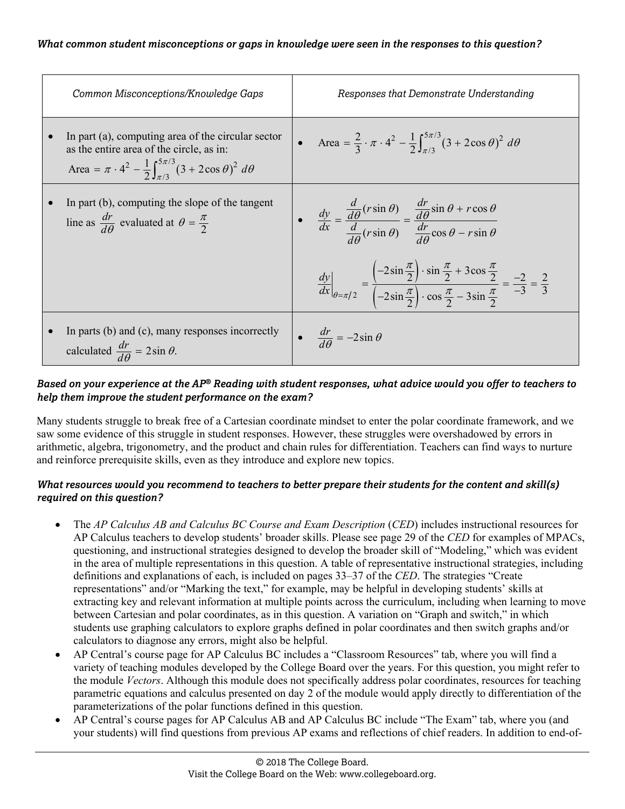| Common Misconceptions/Knowledge Gaps                                                                                                                                                     | Responses that Demonstrate Understanding                                                                                                                                                                                            |
|------------------------------------------------------------------------------------------------------------------------------------------------------------------------------------------|-------------------------------------------------------------------------------------------------------------------------------------------------------------------------------------------------------------------------------------|
| In part (a), computing area of the circular sector<br>as the entire area of the circle, as in:<br>Area = $\pi \cdot 4^2 - \frac{1}{2} \int_{\pi/3}^{5\pi/3} (3 + 2\cos\theta)^2 d\theta$ | • Area = $\frac{2}{3} \cdot \pi \cdot 4^2 - \frac{1}{2} \int_{\pi/3}^{3\pi/3} (3 + 2\cos\theta)^2 d\theta$                                                                                                                          |
| In part (b), computing the slope of the tangent<br>line as $\frac{dr}{d\theta}$ evaluated at $\theta = \frac{\pi}{2}$                                                                    | • $\frac{dy}{dx} = \frac{\frac{d}{d\theta}(r\sin\theta)}{\frac{d}{d\theta}(r\sin\theta)} = \frac{\frac{dr}{d\theta}\sin\theta + r\cos\theta}{\frac{dr}{d\theta}\cos\theta - r\sin\theta}$                                           |
|                                                                                                                                                                                          | $\frac{dy}{dx}\Big _{\theta=\pi/2} = \frac{\left(-2\sin\frac{\pi}{2}\right)\cdot\sin\frac{\pi}{2} + 3\cos\frac{\pi}{2}}{\left(-2\sin\frac{\pi}{2}\right)\cdot\cos\frac{\pi}{2} - 3\sin\frac{\pi}{2}} = \frac{-2}{-3} = \frac{2}{3}$ |
| In parts (b) and (c), many responses incorrectly<br>calculated $\frac{dr}{d\theta} = 2\sin\theta$ .                                                                                      | $\bullet \quad \frac{dr}{d\theta} = -2\sin\theta$                                                                                                                                                                                   |

#### *Based on your experience at the AP® Reading with student responses, what advice would you offer to teachers to help them improve the student performance on the exam?*

Many students struggle to break free of a Cartesian coordinate mindset to enter the polar coordinate framework, and we saw some evidence of this struggle in student responses. However, these struggles were overshadowed by errors in arithmetic, algebra, trigonometry, and the product and chain rules for differentiation. Teachers can find ways to nurture and reinforce prerequisite skills, even as they introduce and explore new topics.

- The *AP Calculus AB and Calculus BC Course and Exam Description* (*CED*) includes instructional resources for AP Calculus teachers to develop students' broader skills. Please see page 29 of the *CED* for examples of MPACs, questioning, and instructional strategies designed to develop the broader skill of "Modeling," which was evident in the area of multiple representations in this question. A table of representative instructional strategies, including definitions and explanations of each, is included on pages 33–37 of the *CED*. The strategies "Create representations" and/or "Marking the text," for example, may be helpful in developing students' skills at extracting key and relevant information at multiple points across the curriculum, including when learning to move between Cartesian and polar coordinates, as in this question. A variation on "Graph and switch," in which students use graphing calculators to explore graphs defined in polar coordinates and then switch graphs and/or calculators to diagnose any errors, might also be helpful.
- AP Central's course page for AP Calculus BC includes a "Classroom Resources" tab, where you will find a variety of teaching modules developed by the College Board over the years. For this question, you might refer to the module *Vectors*. Although this module does not specifically address polar coordinates, resources for teaching parametric equations and calculus presented on day 2 of the module would apply directly to differentiation of the parameterizations of the polar functions defined in this question.
- AP Central's course pages for AP Calculus AB and AP Calculus BC include "The Exam" tab, where you (and your students) will find questions from previous AP exams and reflections of chief readers. In addition to end-of-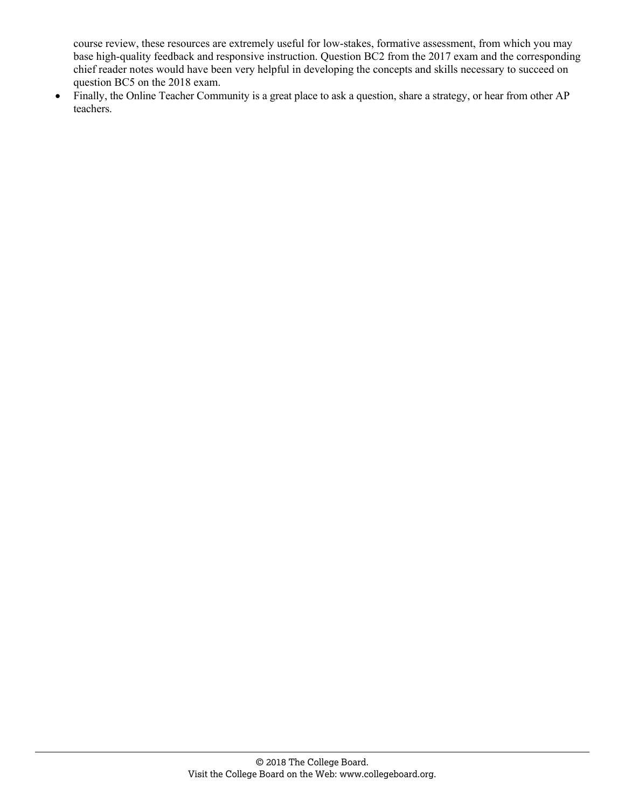course review, these resources are extremely useful for low-stakes, formative assessment, from which you may base high-quality feedback and responsive instruction. Question BC2 from the 2017 exam and the corresponding chief reader notes would have been very helpful in developing the concepts and skills necessary to succeed on question BC5 on the 2018 exam.

• Finally, the Online Teacher Community is a great place to ask a question, share a strategy, or hear from other AP teachers.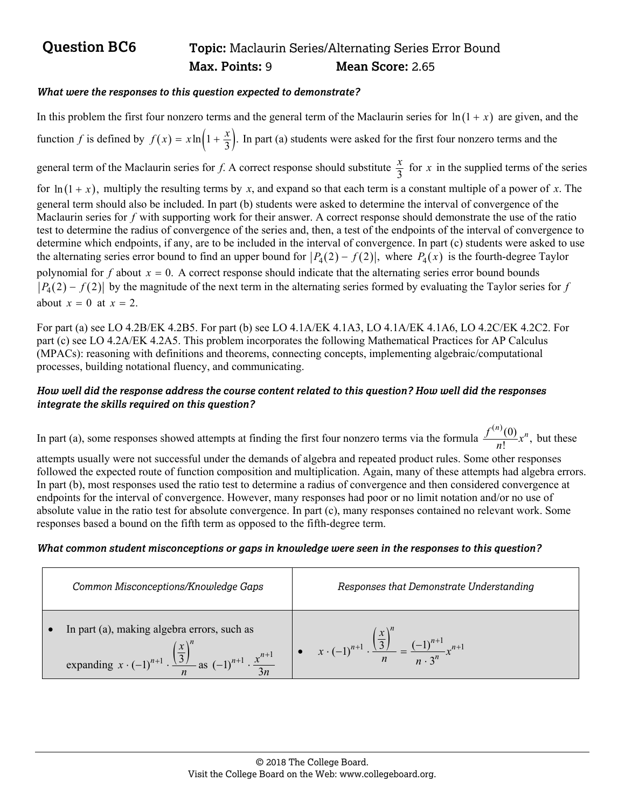## **Question BC6** Topic: Maclaurin Series/Alternating Series Error Bound  **Max. Points:** 9 **Mean Score:** 2.65

#### *What were the responses to this question expected to demonstrate?*

In this problem the first four nonzero terms and the general term of the Maclaurin series for  $\ln(1 + x)$  are given, and the function *f* is defined by  $f(x) = x \ln \left(1 + \frac{x}{3}\right)$ . In part (a) students were asked for the first four nonzero terms and the general term of the Maclaurin series for *f*. A correct response should substitute  $\frac{x}{3}$  for *x* in the supplied terms of the series

for  $\ln(1 + x)$ , multiply the resulting terms by x, and expand so that each term is a constant multiple of a power of x. The general term should also be included. In part (b) students were asked to determine the interval of convergence of the Maclaurin series for *f* with supporting work for their answer. A correct response should demonstrate the use of the ratio test to determine the radius of convergence of the series and, then, a test of the endpoints of the interval of convergence to determine which endpoints, if any, are to be included in the interval of convergence. In part (c) students were asked to use the alternating series error bound to find an upper bound for  $|P_4(2) - f(2)|$ , where  $P_4(x)$  is the fourth-degree Taylor polynomial for  $f$  about  $x = 0$ . A correct response should indicate that the alternating series error bound bounds  $|P_4(2) - f(2)|$  by the magnitude of the next term in the alternating series formed by evaluating the Taylor series for *f* about  $x = 0$  at  $x = 2$ .

For part (a) see LO 4.2B/EK 4.2B5. For part (b) see LO 4.1A/EK 4.1A3, LO 4.1A/EK 4.1A6, LO 4.2C/EK 4.2C2. For part (c) see LO 4.2A/EK 4.2A5. This problem incorporates the following Mathematical Practices for AP Calculus (MPACs): reasoning with definitions and theorems, connecting concepts, implementing algebraic/computational processes, building notational fluency, and communicating.

#### *How well did the response address the course content related to this question? How well did the responses integrate the skills required on this question?*

In part (a), some responses showed attempts at finding the first four nonzero terms via the formula  $\frac{f^{(n)}(0)}{n!}x^n$ , but these

attempts usually were not successful under the demands of algebra and repeated product rules. Some other responses followed the expected route of function composition and multiplication. Again, many of these attempts had algebra errors. In part (b), most responses used the ratio test to determine a radius of convergence and then considered convergence at endpoints for the interval of convergence. However, many responses had poor or no limit notation and/or no use of absolute value in the ratio test for absolute convergence. In part (c), many responses contained no relevant work. Some responses based a bound on the fifth term as opposed to the fifth-degree term.

#### *What common student misconceptions or gaps in knowledge were seen in the responses to this question?*

| Common Misconceptions/Knowledge Gaps                                                                                                                              | Responses that Demonstrate Understanding                                                               |
|-------------------------------------------------------------------------------------------------------------------------------------------------------------------|--------------------------------------------------------------------------------------------------------|
| In part (a), making algebra errors, such as<br>expanding $x \cdot (-1)^{n+1} \cdot \frac{\left(\frac{x}{3}\right)^n}{n}$ as $(-1)^{n+1} \cdot \frac{x^{n+1}}{3n}$ | $x \cdot (-1)^{n+1} \cdot \frac{\left(\frac{n}{3}\right)}{n} = \frac{(-1)^{n+1}}{n \cdot 3^n} x^{n+1}$ |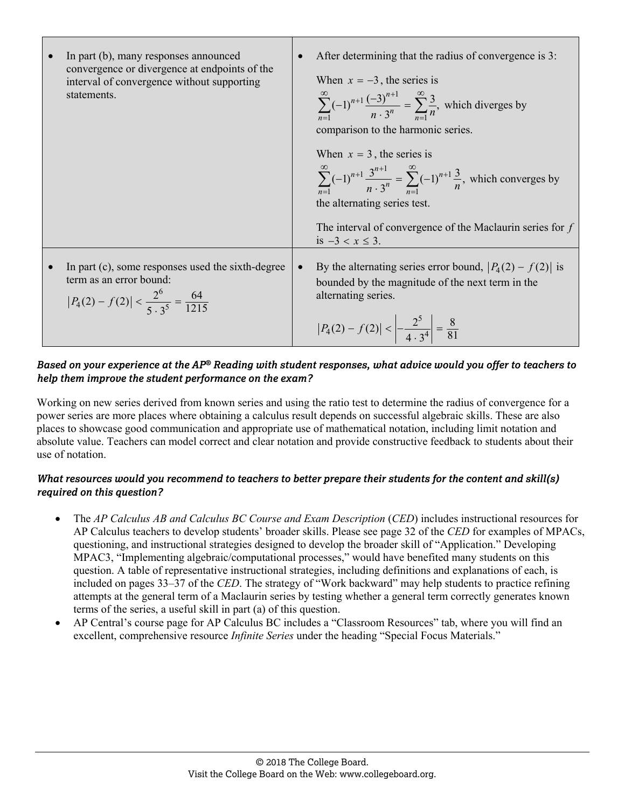| In part (b), many responses announced<br>convergence or divergence at endpoints of the<br>interval of convergence without supporting<br>statements. | After determining that the radius of convergence is 3:<br>When $x = -3$ , the series is<br>$\sum_{n=1}^{\infty} (-1)^{n+1} \frac{(-3)^{n+1}}{n \cdot 3^n} = \sum_{n=1}^{\infty} \frac{3}{n}$ , which diverges by<br>comparison to the harmonic series.<br>When $x = 3$ , the series is<br>$\sum_{n=1}^{\infty} (-1)^{n+1} \frac{3^{n+1}}{n \cdot 3^n} = \sum_{n=1}^{\infty} (-1)^{n+1} \frac{3}{n}$ , which converges by<br>the alternating series test.<br>The interval of convergence of the Maclaurin series for $f$ |
|-----------------------------------------------------------------------------------------------------------------------------------------------------|-------------------------------------------------------------------------------------------------------------------------------------------------------------------------------------------------------------------------------------------------------------------------------------------------------------------------------------------------------------------------------------------------------------------------------------------------------------------------------------------------------------------------|
| In part (c), some responses used the sixth-degree<br>term as an error bound:<br>$ P_4(2) - f(2)  < \frac{2^6}{5 \cdot 3^5} = \frac{64}{1215}$       | is $-3 < x \le 3$ .<br>By the alternating series error bound, $ P_4(2) - f(2) $ is<br>bounded by the magnitude of the next term in the<br>alternating series.<br>$ P_4(2) - f(2)  < \left  -\frac{2^5}{4 \cdot 3^4} \right  = \frac{8}{81}$                                                                                                                                                                                                                                                                             |

#### *Based on your experience at the AP® Reading with student responses, what advice would you offer to teachers to help them improve the student performance on the exam?*

Working on new series derived from known series and using the ratio test to determine the radius of convergence for a power series are more places where obtaining a calculus result depends on successful algebraic skills. These are also places to showcase good communication and appropriate use of mathematical notation, including limit notation and absolute value. Teachers can model correct and clear notation and provide constructive feedback to students about their use of notation.

- The *AP Calculus AB and Calculus BC Course and Exam Description* (*CED*) includes instructional resources for AP Calculus teachers to develop students' broader skills. Please see page 32 of the *CED* for examples of MPACs, questioning, and instructional strategies designed to develop the broader skill of "Application." Developing MPAC3, "Implementing algebraic/computational processes," would have benefited many students on this question. A table of representative instructional strategies, including definitions and explanations of each, is included on pages 33–37 of the *CED*. The strategy of "Work backward" may help students to practice refining attempts at the general term of a Maclaurin series by testing whether a general term correctly generates known terms of the series, a useful skill in part (a) of this question.
- AP Central's course page for AP Calculus BC includes a "Classroom Resources" tab, where you will find an excellent, comprehensive resource *Infinite Series* under the heading "Special Focus Materials."